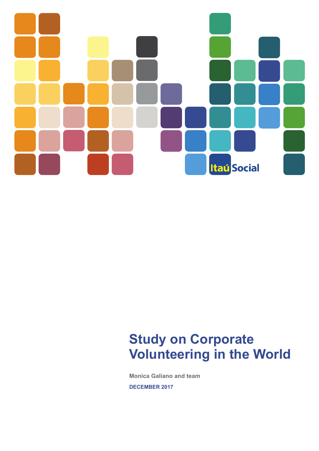# **Itaú Social**

# **Study on Corporate Volunteering in the World**

**Monica Galiano and team** 

**DECEMBER 2017**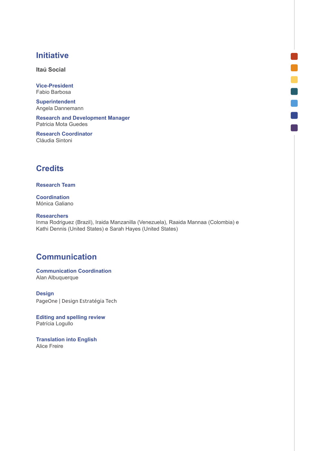# **Initiative**

**Itaú Social**

**Vice-President**  Fabio Barbosa

**Superintendent**  Angela Dannemann

**Research and Development Manager** Patricia Mota Guedes

**Research Coordinator**  Cláudia Sintoni

# **Credits**

#### **Research Team**

**Coordination**  Mónica Galiano

#### **Researchers**

Inma Rodriguez (Brazil), Iraida Manzanilla (Venezuela), Raaida Mannaa (Colombia) e Kathi Dennis (United States) e Sarah Hayes (United States)

n

n

# **Communication**

**Communication Coordination** Alan Albuquerque

**Design** PageOne | Design Estratégia Tech

**Editing and spelling review**  Patrícia Logullo

**Translation into English** Alice Freire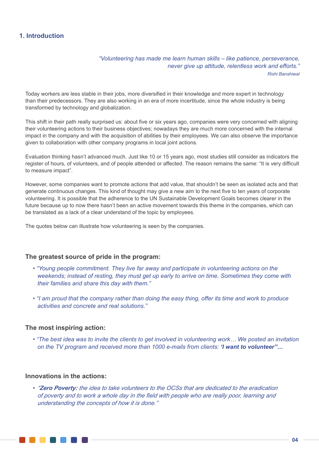# **1. Introduction**

*"Volunteering has made me learn human skills – like patience, perseverance, never give up attitude, relentless work and efforts." Rishi Banshiwal*

Today workers are less stable in their jobs, more diversified in their knowledge and more expert in technology than their predecessors. They are also working in an era of more incertitude, since the whole industry is being transformed by technology and globalization.

This shift in their path really surprised us: about five or six years ago, companies were very concerned with aligning their volunteering actions to their business objectives; nowadays they are much more concerned with the internal impact in the company and with the acquisition of abilities by their employees. We can also observe the importance given to collaboration with other company programs in local joint actions.

Evaluation thinking hasn't advanced much. Just like 10 or 15 years ago, most studies still consider as indicators the register of hours, of volunteers, and of people attended or affected. The reason remains the same: "It is very difficult to measure impact".

However, some companies want to promote actions that add value, that shouldn't be seen as isolated acts and that generate continuous changes. This kind of thought may give a new aim to the next five to ten years of corporate volunteering. It is possible that the adherence to the UN Sustainable Development Goals becomes clearer in the future because up to now there hasn't been an active movement towards this theme in the companies, which can be translated as a lack of a clear understand of the topic by employees.

The quotes below can illustrate how volunteering is seen by the companies.

# **The greatest source of pride in the program:**

- *• "Young people commitment. They live far away and participate in volunteering actions on the weekends; instead of resting, they must get up early to arrive on time. Sometimes they come with their families and share this day with them."*
- *• "I am proud that the company rather than doing the easy thing, offer its time and work to produce activities and concrete and real solutions."*

#### **The most inspiring action:**

*• "The best idea was to invite the clients to get involved in volunteering work… We posted an invitation on the TV program and received more than 1000 e-mails from clients: 'I want to volunteer"…*

# **Innovations in the actions:**

*• "Zero Poverty: the idea to take volunteers to the OCSs that are dedicated to the eradication of poverty and to work a whole day in the field with people who are really poor, learning and understanding the concepts of how it is done."*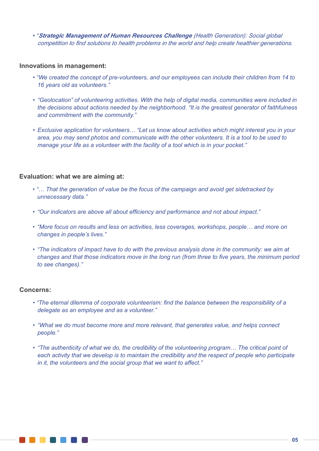*• "Strategic Management of Human Resources Challenge (Health Generation): Social global competition to find solutions to health problems in the world and help create healthier generations.*

## **Innovations in management:**

- *• "We created the concept of pre-volunteers, and our employees can include their children from 14 to 16 years old as volunteers."*
- *• "Geolocation" of volunteering activities. With the help of digital media, communities were included in the decisions about actions needed by the neighborhood. "It is the greatest generator of faithfulness and commitment with the community."*
- *• Exclusive application for volunteers… "Let us know about activities which might interest you in your area, you may send photos and communicate with the other volunteers. It is a tool to be used to manage your life as a volunteer with the facility of a tool which is in your pocket."*

# **Evaluation: what we are aiming at:**

- *"… That the generation of value be the focus of the campaign and avoid get sidetracked by unnecessary data."*
- *• "Our indicators are above all about efficiency and performance and not about impact."*
- *• "More focus on results and less on activities, less coverages, workshops, people… and more on changes in people's lives."*
- *• "The indicators of impact have to do with the previous analysis done in the community: we aim at changes and that those indicators move in the long run (from three to five years, the minimum period to see changes)."*

#### **Concerns:**

- *"The eternal dilemma of corporate volunteerism: find the balance between the responsibility of a delegate as an employee and as a volunteer."*
- *• "What we do must become more and more relevant, that generates value, and helps connect people."*
- *• "The authenticity of what we do, the credibility of the volunteering program… The critical point of each activity that we develop is to maintain the credibility and the respect of people who participate in it, the volunteers and the social group that we want to affect."*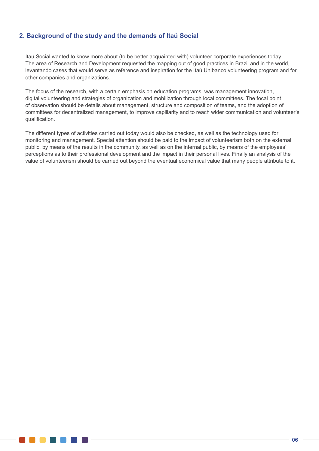# **2. Background of the study and the demands of Itaú Social**

Itaú Social wanted to know more about (to be better acquainted with) volunteer corporate experiences today. The area of Research and Development requested the mapping out of good practices in Brazil and in the world, levantando cases that would serve as reference and inspiration for the Itaú Unibanco volunteering program and for other companies and organizations.

The focus of the research, with a certain emphasis on education programs, was management innovation, digital volunteering and strategies of organization and mobilization through local committees. The focal point of observation should be details about management, structure and composition of teams, and the adoption of committees for decentralized management, to improve capillarity and to reach wider communication and volunteer's qualification.

The different types of activities carried out today would also be checked, as well as the technology used for monitoring and management. Special attention should be paid to the impact of volunteerism both on the external public, by means of the results in the community, as well as on the internal public, by means of the employees' perceptions as to their professional development and the impact in their personal lives. Finally an analysis of the value of volunteerism should be carried out beyond the eventual economical value that many people attribute to it.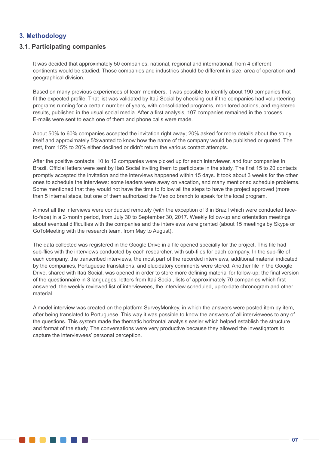# **3. Methodology**

# **3.1. Participating companies**

. . . . . . . .

It was decided that approximately 50 companies, national, regional and international, from 4 different continents would be studied. Those companies and industries should be different in size, area of operation and geographical division.

Based on many previous experiences of team members, it was possible to identify about 190 companies that fit the expected profile. That list was validated by Itaú Social by checking out if the companies had volunteering programs running for a certain number of years, with consolidated programs, monitored actions, and registered results, published in the usual social media. After a first analysis, 107 companies remained in the process. E-mails were sent to each one of them and phone calls were made.

About 50% to 60% companies accepted the invitation right away; 20% asked for more details about the study itself and approximately 5%wanted to know how the name of the company would be published or quoted. The rest, from 15% to 20% either declined or didn't return the various contact attempts.

After the positive contacts, 10 to 12 companies were picked up for each interviewer, and four companies in Brazil. Official letters were sent by Itaú Social inviting them to participate in the study. The first 15 to 20 contacts promptly accepted the invitation and the interviews happened within 15 days. It took about 3 weeks for the other ones to schedule the interviews: some leaders were away on vacation, and many mentioned schedule problems. Some mentioned that they would not have the time to follow all the steps to have the project approved (more than 5 internal steps, but one of them authorized the Mexico branch to speak for the local program.

Almost all the interviews were conducted remotely (with the exception of 3 in Brazil which were conducted faceto-face) in a 2-month period, from July 30 to September 30, 2017. Weekly follow-up and orientation meetings about eventual difficulties with the companies and the interviews were granted (about 15 meetings by Skype or GoToMeeting with the research team, from May to August).

The data collected was registered in the Google Drive in a file opened specially for the project. This file had sub-flies with the interviews conducted by each researcher, with sub-files for each company. In the sub-file of each company, the transcribed interviews, the most part of the recorded interviews, additional material indicated by the companies, Portuguese translations, and elucidatory comments were stored. Another file in the Google Drive, shared with Itaú Social, was opened in order to store more defining material for follow-up: the final version of the questionnaire in 3 languages, letters from Itaú Social, lists of approximately 70 companies which first answered, the weekly reviewed list of interviewees, the interview scheduled, up-to-date chronogram and other material.

A model interview was created on the platform SurveyMonkey, in which the answers were posted item by item, after being translated to Portuguese. This way it was possible to know the answers of all interviewees to any of the questions. This system made the thematic horizontal analysis easier which helped establish the structure and format of the study. The conversations were very productive because they allowed the investigators to capture the interviewees' personal perception.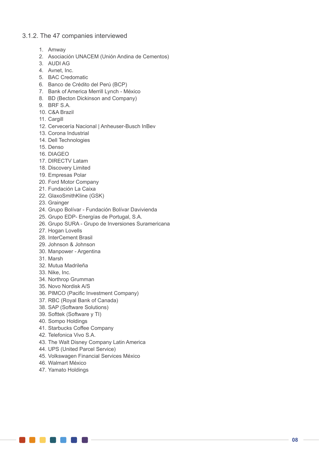# 3.1.2. The 47 companies interviewed

- 1. Amway
- 2. Asociación UNACEM (Unión Andina de Cementos)
- 3. AUDI AG
- 4. Avnet, Inc.
- 5. BAC Credomatic
- 6. Banco de Crédito del Perú (BCP)
- 7. Bank of America Merrill Lynch México
- 8. BD (Becton Dickinson and Company)
- 9. BRF S.A.
- 10. C&A Brazil
- 11. Cargill
- 12. Cervecería Nacional | Anheuser-Busch InBev
- 13. Corona Industrial
- 14. Dell Technologies
- 15. Denso
- 16. DIAGEO
- 17. DIRECTV Latam
- 18. Discovery Limited
- 19. Empresas Polar
- 20. Ford Motor Company
- 21. Fundación La Caixa
- 22. GlaxoSmithKline (GSK)
- 23. Grainger
- 24. Grupo Bolívar Fundación Bolívar Davivienda
- 25. Grupo EDP- Energías de Portugal, S.A.
- 26. Grupo SURA Grupo de Inversiones Suramericana
- 27. Hogan Lovells
- 28. InterCement Brasil
- 29. Johnson & Johnson
- 30. Manpower Argentina
- 31. Marsh
- 32. Mutua Madrileña
- 33. Nike, Inc.
- 34. Northrop Grumman
- 35. Novo Nordisk A/S
- 36. PIMCO (Pacific Investment Company)
- 37. RBC (Royal Bank of Canada)
- 38. SAP (Software Solutions)
- 39. Softtek (Software y TI)
- 40. Sompo Holdings
- 41. Starbucks Coffee Company
- 42. Telefonica Vivo S.A.
- 43. The Walt Disney Company Latin America
- 44. UPS (United Parcel Service)
- 45. Volkswagen Financial Services México
- 46. Walmart México

**. . . . . . . . . . .** 

47. Yamato Holdings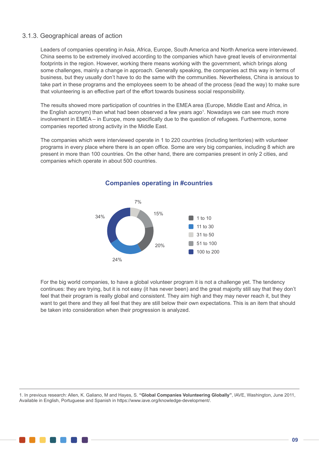# 3.1.3. Geographical areas of action

Leaders of companies operating in Asia, Africa, Europe, South America and North America were interviewed. China seems to be extremely involved according to the companies which have great levels of environmental footprints in the region. However, working there means working with the government, which brings along some challenges, mainly a change in approach. Generally speaking, the companies act this way in terms of business, but they usually don't have to do the same with the communities. Nevertheless, China is anxious to take part in these programs and the employees seem to be ahead of the process (lead the way) to make sure that volunteering is an effective part of the effort towards business social responsibility.

The results showed more participation of countries in the EMEA area (Europe, Middle East and Africa, in the English acronym) than what had been observed a few years ago<sup>1</sup>. Nowadays we can see much more involvement in EMEA – in Europe, more specifically due to the question of refugees. Furthermore, some companies reported strong activity in the Middle East.

The companies which were interviewed operate in 1 to 220 countries (including territories) with volunteer programs in every place where there is an open office. Some are very big companies, including 8 which are present in more than 100 countries. On the other hand, there are companies present in only 2 cities, and companies which operate in about 500 countries.



# **Companies operating in #countries**

For the big world companies, to have a global volunteer program it is not a challenge yet. The tendency continues: they are trying, but it is not easy (it has never been) and the great majority still say that they don't feel that their program is really global and consistent. They aim high and they may never reach it, but they want to get there and they all feel that they are still below their own expectations. This is an item that should be taken into consideration when their progression is analyzed.

1. In previous research: Allen, K. Galiano, M and Hayes, S. **"Global Companies Volunteering Globally"**, IAVE, Washington, June 2011, Available in English, Portuguese and Spanish in https://www.iave.org/knowledge-development/.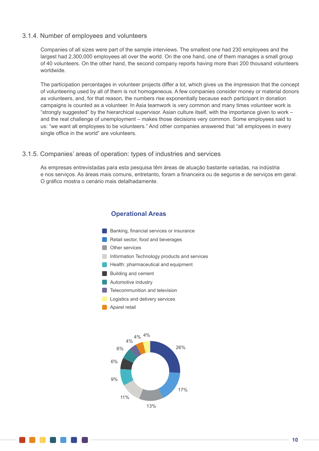#### 3.1.4. Number of employees and volunteers

Companies of all sizes were part of the sample interviews. The smallest one had 230 employees and the largest had 2,300,000 employees all over the world. On the one hand, one of them manages a small group of 40 volunteers. On the other hand, the second company reports having more than 200 thousand volunteers worldwide.

The participation percentages in volunteer projects differ a lot, which gives us the impression that the concept of volunteering used by all of them is not homogeneous. A few companies consider money or material donors as volunteers, and, for that reason, the numbers rise exponentially because each participant in donation campaigns is counted as a volunteer. In Asia teamwork is very common and many times volunteer work is "strongly suggested" by the hierarchical supervisor. Asian culture itself, with the importance given to work – and the real challenge of unemployment – makes those decisions very common. Some employees said to us: "we want all employees to be volunteers." And other companies answered that "all employees in every single office in the world" are volunteers.

#### 3.1.5. Companies' areas of operation: types of industries and services

As empresas entrevistadas para esta pesquisa têm áreas de atuação bastante variadas, na indústria e nos serviços. As áreas mais comuns, entretanto, foram a financeira ou de seguros e de serviços em geral. O gráfico mostra o cenário mais detalhadamente.

# **Operational Areas**

**Aparel retail Automotive industry** Building and cement **Logistics and delivery services Telecommunition and television Health: pharmaceutical and equipment** Retail sector, food and beverages Banking, financial services or insurance **Information Technology products and services Other services** 

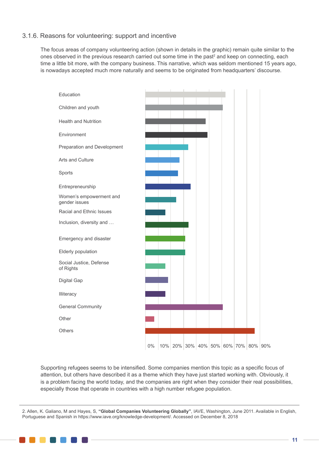# 3.1.6. Reasons for volunteering: support and incentive

The focus areas of company volunteering action (shown in details in the graphic) remain quite similar to the ones observed in the previous research carried out some time in the past<sup>2</sup> and keep on connecting, each time a little bit more, with the company business. This narrative, which was seldom mentioned 15 years ago, is nowadays accepted much more naturally and seems to be originated from headquarters' discourse.



Supporting refugees seems to be intensified. Some companies mention this topic as a specific focus of attention, but others have described it as a theme which they have just started working with. Obviously, it is a problem facing the world today, and the companies are right when they consider their real possibilities, especially those that operate in countries with a high number refugee population.

2. Allen, K. Galiano, M and Hayes, S, **"Global Companies Volunteering Globally"**, IAVE, Washington, June 2011. Available in English, Portuguese and Spanish in https://www.iave.org/knowledge-development/. Accessed on December 8, 2018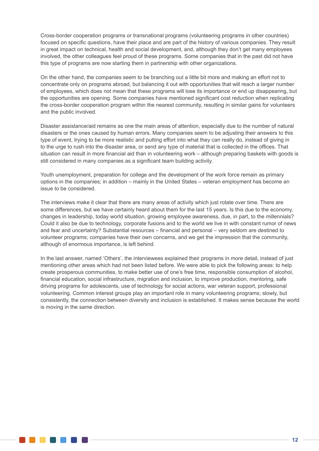Cross-border cooperation programs or transnational programs (volunteering programs in other countries) focused on specific questions, have their place and are part of the history of various companies. They result in great impact on technical, health and social development, and, although they don't get many employees involved, the other colleagues feel proud of these programs. Some companies that in the past did not have this type of programs are now starting them in partnership with other organizations.

On the other hand, the companies seem to be branching out a little bit more and making an effort not to concentrate only on programs abroad, but balancing it out with opportunities that will reach a larger number of employees, which does not mean that these programs will lose its importance or end up disappearing, but the opportunities are opening. Some companies have mentioned significant cost reduction when replicating the cross-border cooperation program within the nearest community, resulting in similar gains for volunteers and the public involved.

Disaster assistance/aid remains as one the main areas of attention, especially due to the number of natural disasters or the ones caused by human errors. Many companies seem to be adjusting their answers to this type of event, trying to be more realistic and putting effort into what they can really do, instead of giving in to the urge to rush into the disaster area, or send any type of material that is collected in the offices. That situation can result in more financial aid than in volunteering work – although preparing baskets with goods is still considered in many companies as a significant team building activity.

Youth unemployment, preparation for college and the development of the work force remain as primary options in the companies; in addition – mainly in the United States – veteran employment has become an issue to be considered.

The interviews make it clear that there are many areas of activity which just rotate over time. There are some differences, but we have certainly heard about them for the last 15 years. Is this due to the economy, changes in leadership, today world situation, growing employee awareness, due, in part, to the millennials? Could it also be due to technology, corporate fusions and to the world we live in with constant rumor of news and fear and uncertainty? Substantial resources – financial and personal – very seldom are destined to volunteer programs; companies have their own concerns, and we get the impression that the community, although of enormous importance, is left behind.

In the last answer, named 'Others', the interviewees explained their programs in more detail, instead of just mentioning other areas which had not been listed before. We were able to pick the following areas: to help create prosperous communities, to make better use of one's free time, responsible consumption of alcohol, financial education, social infrastructure, migration and inclusion, to improve production, mentoring, safe driving programs for adolescents, use of technology for social actions, war veteran support, professional volunteering. Common interest groups play an important role in many volunteering programs; slowly, but consistently, the connection between diversity and inclusion is established. It makes sense because the world is moving in the same direction.

. . . . . . .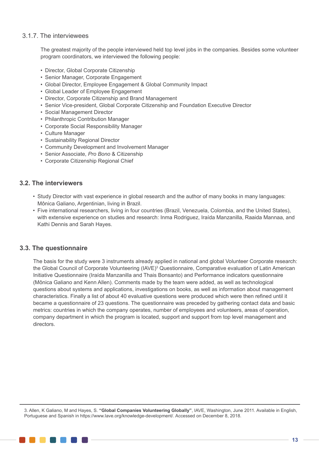# 3.1.7. The interviewees

The greatest majority of the people interviewed held top level jobs in the companies. Besides some volunteer program coordinators, we interviewed the following people:

- Director, Global Corporate Citizenship
- Senior Manager, Corporate Engagement
- Global Director, Employee Engagement & Global Community Impact
- Global Leader of Employee Engagement
- Director, Corporate Citizenship and Brand Management
- Senior Vice-president, Global Corporate Citizenship and Foundation Executive Director
- Social Management Director
- Philanthropic Contribution Manager
- Corporate Social Responsibility Manager
- Culture Manager
- Sustainability Regional Director
- Community Development and Involvement Manager
- Senior Associate, *Pro Bono* & Citizenship
- Corporate Citizenship Regional Chief

# **3.2. The interviewers**

- Study Director with vast experience in global research and the author of many books in many languages: Mônica Galiano, Argentinian, living in Brazil.
- Five international researchers, living in four countries (Brazil, Venezuela, Colombia, and the United States), with extensive experience on studies and research: Inma Rodriguez, Iraída Manzanilla, Raaida Mannaa, and Kathi Dennis and Sarah Hayes.

# **3.3. The questionnaire**

The basis for the study were 3 instruments already applied in national and global Volunteer Corporate research: the Global Council of Corporate Volunteering (IAVE)<sup>3</sup> Questionnaire, Comparative evaluation of Latin American Initiative Questionnaire (Iraída Manzanilla and Thais Bonsanto) and Performance indicators questionnaire (Mônica Galiano and Kenn Allen). Comments made by the team were added, as well as technological questions about systems and applications, investigations on books, as well as information about management characteristics. Finally a list of about 40 evaluative questions were produced which were then refined until it became a questionnaire of 23 questions. The questionnaire was preceded by gathering contact data and basic metrics: countries in which the company operates, number of employees and volunteers, areas of operation, company department in which the program is located, support and support from top level management and directors.

3. Allen, K Galiano, M and Hayes, S. **"Global Companies Volunteering Globally"**, IAVE, Washington, June 2011. Available in English, Portuguese and Spanish in https://www.Iave.org/knowledge-development/. Accessed on December 8, 2018.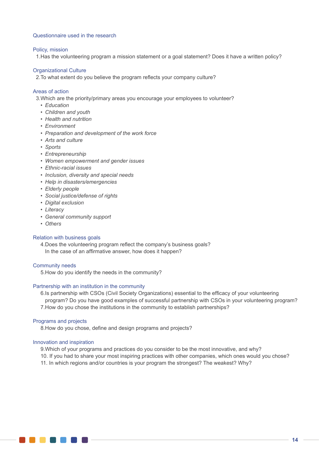#### Questionnaire used in the research

#### Policy, mission

1.Has the volunteering program a mission statement or a goal statement? Does it have a written policy?

#### Organizational Culture

2.To what extent do you believe the program reflects your company culture?

#### Areas of action

3.Which are the priority/primary areas you encourage your employees to volunteer?

- *• Education*
- *• Children and youth*
- *• Health and nutrition*
- *• Environment*
- *• Preparation and development of the work force*
- *• Arts and culture*
- *• Sports*
- *• Entrepreneurship*
- *• Women empowerment and gender issues*
- *• Ethnic-racial issues*
- *• Inclusion, diversity and special needs*
- *• Help in disasters/emergencies*
- *• Elderly people*
- *• Social justice/defense of rights*
- *• Digital exclusion*
- *• Literacy*
- *• General community support*
- *• Others*

#### Relation with business goals

4.Does the volunteering program reflect the company's business goals? In the case of an affirmative answer, how does it happen?

#### Community needs

5.How do you identify the needs in the community?

#### Partnership with an institution in the community

6.Is partnership with CSOs (Civil Society Organizations) essential to the efficacy of your volunteering program? Do you have good examples of successful partnership with CSOs in your volunteering program? 7.How do you chose the institutions in the community to establish partnerships?

#### Programs and projects

8.How do you chose, define and design programs and projects?

#### Innovation and inspiration

9.Which of your programs and practices do you consider to be the most innovative, and why?

10. If you had to share your most inspiring practices with other companies, which ones would you chose?

11. In which regions and/or countries is your program the strongest? The weakest? Why?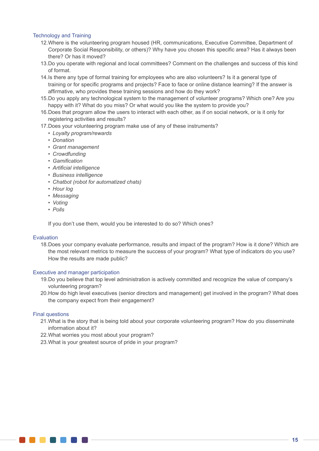#### Technology and Training

- 12.Where is the volunteering program housed (HR, communications, Executive Committee, Department of Corporate Social Responsibility, or others)? Why have you chosen this specific area? Has it always been there? Or has it moved?
- 13.Do you operate with regional and local committees? Comment on the challenges and success of this kind of format.
- 14.Is there any type of formal training for employees who are also volunteers? Is it a general type of training or for specific programs and projects? Face to face or online distance learning? If the answer is affirmative, who provides these training sessions and how do they work?
- 15.Do you apply any technological system to the management of volunteer programs? Which one? Are you happy with it? What do you miss? Or what would you like the system to provide you?
- 16.Does that program allow the users to interact with each other, as if on social network, or is it only for registering activities and results?
- 17.Does your volunteering program make use of any of these instruments?
	- *• Loyalty program/rewards*
	- *• Donation*
	- *• Grant management*
	- *• Crowdfunding*
	- *• Gamification*
	- *• Artificial intelligence*
	- *• Business intelligence*
	- *• Chatbot (robot for automatized chats)*
	- *• Hour log*
	- *• Messaging*
	- *• Voting*
	- *• Polls*

If you don't use them, would you be interested to do so? Which ones?

#### Evaluation

18.Does your company evaluate performance, results and impact of the program? How is it done? Which are the most relevant metrics to measure the success of your program? What type of indicators do you use? How the results are made public?

#### Executive and manager participation

an an Aon

- 19.Do you believe that top level administration is actively committed and recognize the value of company's volunteering program?
- 20.How do high level executives (senior directors and management) get involved in the program? What does the company expect from their engagement?

#### Final questions

- 21.What is the story that is being told about your corporate volunteering program? How do you disseminate information about it?
- 22.What worries you most about your program?
- 23.What is your greatest source of pride in your program?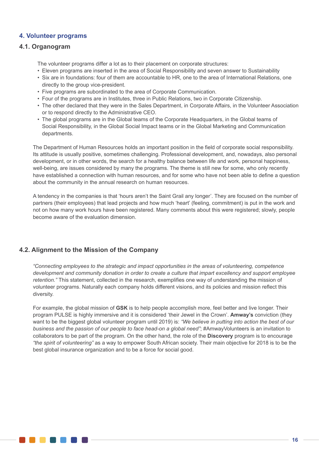# **4. Volunteer programs**

# **4.1. Organogram**

. . . .

The volunteer programs differ a lot as to their placement on corporate structures:

- Eleven programs are inserted in the area of Social Responsibility and seven answer to Sustainability
- Six are in foundations: four of them are accountable to HR, one to the area of International Relations, one directly to the group vice-president.
- Five programs are subordinated to the area of Corporate Communication.
- Four of the programs are in Institutes, three in Public Relations, two in Corporate Citizenship.
- The other declared that they were in the Sales Department, in Corporate Affairs, in the Volunteer Association or to respond directly to the Administrative CEO.
- The global programs are in the Global teams of the Corporate Headquarters, in the Global teams of Social Responsibility, in the Global Social Impact teams or in the Global Marketing and Communication departments.

The Department of Human Resources holds an important position in the field of corporate social responsibility. Its attitude is usually positive, sometimes challenging. Professional development, and, nowadays, also personal development, or in other words, the search for a healthy balance between life and work, personal happiness, well-being, are issues considered by many the programs. The theme is still new for some, who only recently have established a connection with human resources, and for some who have not been able to define a question about the community in the annual research on human resources.

A tendency in the companies is that 'hours aren't the Saint Grail any longer'. They are focused on the number of partners (their employees) that lead projects and how much 'heart' (feeling, commitment) is put in the work and not on how many work hours have been registered. Many comments about this were registered; slowly, people become aware of the evaluation dimension.

# **4.2. Alignment to the Mission of the Company**

*"Connecting employees to the strategic and impact opportunities in the areas of volunteering, competence development and community donation in order to create a culture that impart excellency and support employee retention."* This statement, collected in the research, exemplifies one way of understanding the mission of volunteer programs. Naturally each company holds different visions, and its policies and mission reflect this diversity.

For example, the global mission of **GSK** is to help people accomplish more, feel better and live longer. Their program PULSE is highly immersive and it is considered 'their Jewel in the Crown'. **Amway's** conviction (they want to be the biggest global volunteer program until 2019) is: *"We believe in putting into action the best of our business and the passion of our people to face head-on a global need"*; #AmwayVolunteers is an invitation to collaborators to be part of the program. On the other hand, the role of the **Discovery** program is to encourage *"the spirit of volunteering"* as a way to empower South African society. Their main objective for 2018 is to be the best global insurance organization and to be a force for social good.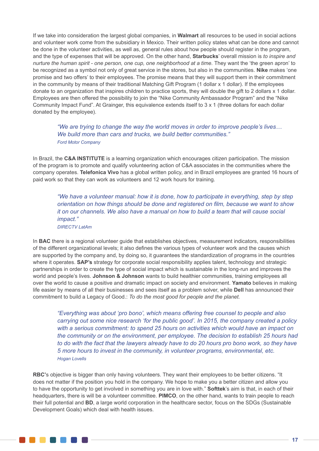If we take into consideration the largest global companies, in **Walmart** all resources to be used in social actions and volunteer work come from the subsidiary in Mexico. Their written policy states what can be done and cannot be done in the volunteer activities, as well as, general rules about how people should register in the program, and the type of expenses that will be approved. On the other hand, **Starbucks**' overall mission is *to inspire and nurture the human spirit - one person, one cup, one neighborhood at a time.* They want the 'the green apron' to be recognized as a symbol not only of great service in the stores, but also in the communities. **Nike** makes 'one promise and two offers' to their employees. The promise means that they will support them in their commitment in the community by means of their traditional Matching Gift Program (1 dollar x 1 dollar). If the employees donate to an organization that inspires children to practice sports, they will double the gift to 2 dollars x 1 dollar. Employees are then offered the possibility to join the "Nike Community Ambassador Program" and the "Nike Community Impact Fund". At Grainger, this equivalence extends itself to 3 x 1 (three dollars for each dollar donated by the employee).

*"We are trying to change the way the world moves in order to improve people's lives… We build more than cars and trucks, we build better communities." Ford Motor Company*

In Brazil, the **C&A INSTITUTE** is a learning organization which encourages citizen participation. The mission of the program is to promote and qualify volunteering action of C&A associates in the communities where the company operates. **Telefonica Vivo** has a global written policy, and in Brazil employees are granted 16 hours of paid work so that they can work as volunteers and 12 work hours for training.

*"We have a volunteer manual: how it is done, how to participate in everything, step by step orientation on how things should be done and registered on film, because we want to show it on our channels. We also have a manual on how to build a team that will cause social impact." DIRECTV LatAm*

In **BAC** there is a regional volunteer guide that establishes objectives, measurement indicators, responsibilities of the different organizational levels; it also defines the various types of volunteer work and the causes which are supported by the company and, by doing so, it guarantees the standardization of programs in the countries where it operates. **SAP's** strategy for corporate social responsibility applies talent, technology and strategic partnerships in order to create the type of social impact which is sustainable in the long-run and improves the world and people's lives. **Johnson & Johnson** wants to build healthier communities, training employees all over the world to cause a positive and dramatic impact on society and environment. **Yamato** believes in making life easier by means of all their businesses and sees itself as a problem solver, while **Dell** has announced their commitment to build a Legacy of Good.: *To do the most good for people and the planet.*

*"Everything was about 'pro bono', which means offering free counsel to people and also carrying out some nice research 'for the public good'. In 2015, the company created a policy with a serious commitment: to spend 25 hours on activities which would have an impact on the community or on the environment, per employee. The decision to establish 25 hours had to do with the fact that the lawyers already have to do 20 hours pro bono work, so they have 5 more hours to invest in the community, in volunteer programs, environmental, etc. Hogan Lovells*

**RBC'**s objective is bigger than only having volunteers. They want their employees to be better citizens. "It does not matter if the position you hold in the company. We hope to make you a better citizen and allow you to have the opportunity to get involved in something you are in love with." **Softtek**'s aim is that, in each of their headquarters, there is will be a volunteer committee. **PIMCO**, on the other hand, wants to train people to reach their full potential and **BD**, a large world corporation in the healthcare sector, focus on the SDGs (Sustainable Development Goals) which deal with health issues.

. . . . . . .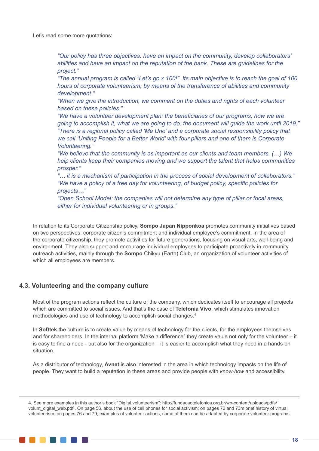Let's read some more quotations:

*"Our policy has three objectives: have an impact on the community, develop collaborators' abilities and have an impact on the reputation of the bank. These are guidelines for the project."*

*"The annual program is called "Let's go x 100!". Its main objective is to reach the goal of 100 hours of corporate volunteerism, by means of the transference of abilities and community development."* 

*"When we give the introduction, we comment on the duties and rights of each volunteer based on these policies."*

*"We have a volunteer development plan: the beneficiaries of our programs, how we are going to accomplish it, what we are going to do: the document will guide the work until 2019." "There is a regional policy called 'Me Uno' and a corporate social responsibility policy that we call 'Uniting People for a Better World' with four pillars and one of them is Corporate Volunteering."*

*"We believe that the community is as important as our clients and team members. (…) We help clients keep their companies moving and we support the talent that helps communities prosper."*

*"… it is a mechanism of participation in the process of social development of collaborators." "We have a policy of a free day for volunteering, of budget policy, specific policies for projects…"*

*"Open School Model: the companies will not determine any type of pillar or focal areas, either for individual volunteering or in groups."*

In relation to its Corporate Citizenship policy, **Sompo Japan Nipponkoa** promotes community initiatives based on two perspectives: corporate citizen's commitment and individual employee's commitment. In the area of the corporate citizenship, they promote activities for future generations, focusing on visual arts, well-being and environment. They also support and encourage individual employees to participate proactively in community outreach activities, mainly through the **Sompo** Chikyu (Earth) Club, an organization of volunteer activities of which all employees are members.

# **4.3. Volunteering and the company culture**

Most of the program actions reflect the culture of the company, which dedicates itself to encourage all projects which are committed to social issues. And that's the case of **Telefonia Vivo**, which stimulates innovation methodologies and use of technology to accomplish social changes.<sup>4</sup>

In **Softtek** the culture is to create value by means of technology for the clients, for the employees themselves and for shareholders. In the internal platform 'Make a difference" they create value not only for the volunteer – it is easy to find a need - but also for the organization – it is easier to accomplish what they need in a hands-on situation.

As a distributor of technology, **Avnet** is also interested in the area in which technology impacts on the life of people. They want to build a reputation in these areas and provide people with *know-how* and accessibility.

4. See more examples in this author's book "Digital volunteerism": http://fundacaotelefonica.org.br/wp-content/uploads/pdfs/ volunt\_digital\_web.pdf . On page 56, about the use of cell phones for social activism; on pages 72 and 73m brief history of virtual volunteerism; on pages 76 and 79, examples of volunteer actions, some of them can be adapted by corporate volunteer programs.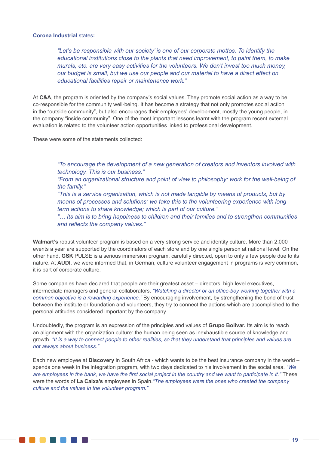#### **Corona Industrial** states**:**

*"Let's be responsible with our society' is one of our corporate mottos. To identify the educational institutions close to the plants that need improvement, to paint them, to make murals, etc. are very easy activities for the volunteers. We don't invest too much money, our budget is small, but we use our people and our material to have a direct effect on educational facilities repair or maintenance work."* 

At **C&A**, the program is oriented by the company's social values. They promote social action as a way to be co-responsible for the community well-being. It has become a strategy that not only promotes social action in the "outside community", but also encourages their employees' development, mostly the young people, in the company "inside community". One of the most important lessons learnt with the program recent external evaluation is related to the volunteer action opportunities linked to professional development.

These were some of the statements collected:

*"To encourage the development of a new generation of creators and inventors involved with technology. This is our business."*

*"From an organizational structure and point of view to philosophy: work for the well-being of the family."*

*"This is a service organization, which is not made tangible by means of products, but by means of processes and solutions: we take this to the volunteering experience with longterm actions to share knowledge; which is part of our culture."*

*"… Its aim is to bring happiness to children and their families and to strengthen communities and reflects the company values."*

**Walmart's** robust volunteer program is based on a very strong service and identity culture. More than 2,000 events a year are supported by the coordinators of each store and by one single person at national level. On the other hand, **GSK** PULSE is a serious immersion program, carefully directed, open to only a few people due to its nature. At **AUDI**, we were informed that, in German, culture volunteer engagement in programs is very common, it is part of corporate culture.

Some companies have declared that people are their greatest asset – directors, high level executives, intermediate managers and general collaborators. *"Watching a director or an office-boy working together with a common objective is a rewarding experience."* By encouraging involvement, by strengthening the bond of trust between the institute or foundation and volunteers, they try to connect the actions which are accomplished to the personal attitudes considered important by the company.

Undoubtedly, the program is an expression of the principles and values of **Grupo Bolivar.** Its aim is to reach an alignment with the organization culture: the human being seen as inexhaustible source of knowledge and growth. *"It is a way to connect people to other realities, so that they understand that principles and values are not always about business."*

Each new employee at **Discovery** in South Africa - which wants to be the best insurance company in the world – spends one week in the integration program, with two days dedicated to his involvement in the social area. *"We are employees in the bank, we have the first social project in the country and we want to participate in it."* These were the words of **La Caixa's** employees in Spain.*"The employees were the ones who created the company culture and the values in the volunteer program."*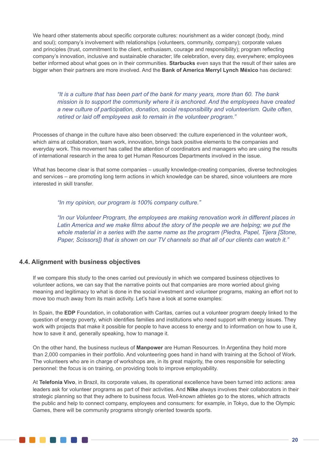We heard other statements about specific corporate cultures: nourishment as a wider concept (body, mind and soul); company's involvement with relationships (volunteers, community, company); corporate values and principles (trust, commitment to the client, enthusiasm, courage and responsibility); program reflecting company's innovation, inclusive and sustainable character; life celebration, every day, everywhere; employees better informed about what goes on in their communities. **Starbucks** even says that the result of their sales are bigger when their partners are more involved. And the **Bank of America Merryl Lynch México** has declared:

*"It is a culture that has been part of the bank for many years, more than 60. The bank mission is to support the community where it is anchored. And the employees have created a new culture of participation, donation, social responsibility and volunteerism. Quite often, retired or laid off employees ask to remain in the volunteer program."*

Processes of change in the culture have also been observed: the culture experienced in the volunteer work, which aims at collaboration, team work, innovation, brings back positive elements to the companies and everyday work. This movement has called the attention of coordinators and managers who are using the results of international research in the area to get Human Resources Departments involved in the issue.

What has become clear is that some companies – usually knowledge-creating companies, diverse technologies and services – are promoting long term actions in which knowledge can be shared, since volunteers are more interested in skill transfer.

*"In my opinion, our program is 100% company culture."*

*"In our Volunteer Program, the employees are making renovation work in different places in*  Latin America and we make films about the story of the people we are helping; we put the *whole material in a series with the same name as the program (Piedra, Papel, Tijera [Stone, Paper, Scissors]) that is shown on our TV channels so that all of our clients can watch it."*

# **4.4. Alignment with business objectives**

. . . .

If we compare this study to the ones carried out previously in which we compared business objectives to volunteer actions, we can say that the narrative points out that companies are more worried about giving meaning and legitimacy to what is done in the social investment and volunteer programs, making an effort not to move too much away from its main activity. Let's have a look at some examples:

In Spain, the **EDP** Foundation, in collaboration with Caritas, carries out a volunteer program deeply linked to the question of energy poverty, which identifies families and institutions who need support with energy issues. They work with projects that make it possible for people to have access to energy and to information on how to use it, how to save it and, generally speaking, how to manage it.

On the other hand, the business nucleus of **Manpower** are Human Resources. In Argentina they hold more than 2,000 companies in their portfolio. And volunteering goes hand in hand with training at the School of Work. The volunteers who are in charge of workshops are, in its great majority, the ones responsible for selecting personnel: the focus is on training, on providing tools to improve employability.

At **Telefonia Vivo**, in Brazil, its corporate values, its operational excellence have been turned into actions: area leaders ask for volunteer programs as part of their activities. And **Nike** always involves their collaborators in their strategic planning so that they adhere to business focus. Well-known athletes go to the stores, which attracts the public and help to connect company, employees and consumers: for example, in Tokyo, due to the Olympic Games, there will be community programs strongly oriented towards sports.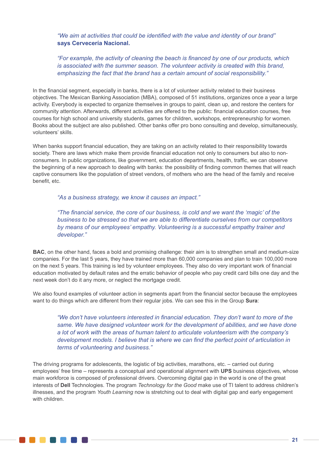*"We aim at activities that could be identified with the value and identity of our brand"*  **says Cervecería Nacional.** 

*"For example, the activity of cleaning the beach is financed by one of our products, which is associated with the summer season. The volunteer activity is created with this brand, emphasizing the fact that the brand has a certain amount of social responsibility."*

In the financial segment, especially in banks, there is a lot of volunteer activity related to their business objectives. The Mexican Banking Association (MBA), composed of 51 institutions, organizes once a year a large activity. Everybody is expected to organize themselves in groups to paint, clean up, and restore the centers for community attention. Afterwards, different activities are offered to the public: financial education courses, free courses for high school and university students, games for children, workshops, entrepreneurship for women. Books about the subject are also published. Other banks offer pro bono consulting and develop, simultaneously, volunteers' skills.

When banks support financial education, they are taking on an activity related to their responsibility towards society. There are laws which make them provide financial education not only to consumers but also to nonconsumers. In public organizations, like government, education departments, health, traffic, we can observe the beginning of a new approach to dealing with banks: the possibility of finding common themes that will reach captive consumers like the population of street vendors, of mothers who are the head of the family and receive benefit, etc.

*"As a business strategy, we know it causes an impact."*

*"The financial service, the core of our business, is cold and we want the 'magic' of the business to be stressed so that we are able to differentiate ourselves from our competitors by means of our employees' empathy. Volunteering is a successful empathy trainer and developer."*

**BAC**, on the other hand, faces a bold and promising challenge: their aim is to strengthen small and medium-size companies. For the last 5 years, they have trained more than 60,000 companies and plan to train 100,000 more on the next 5 years. This training is led by volunteer employees. They also do very important work of financial education motivated by default rates and the erratic behavior of people who pay credit card bills one day and the next week don't do it any more, or neglect the mortgage credit.

We also found examples of volunteer action in segments apart from the financial sector because the employees want to do things which are different from their regular jobs. We can see this in the Group **Sura**:

*"We don't have volunteers interested in financial education. They don't want to more of the same. We have designed volunteer work for the development of abilities, and we have done a lot of work with the areas of human talent to articulate volunteerism with the company's development models. I believe that is where we can find the perfect point of articulation in terms of volunteering and business."*

The driving programs for adolescents, the logistic of big activities, marathons, etc. – carried out during employees' free time – represents a conceptual and operational alignment with **UPS** business objectives, whose main workforce is composed of professional drivers. Overcoming digital gap in the world is one of the great interests of **Dell** Technologies. The program *Technology for the Good* make use of TI talent to address children's illnesses, and the program *Youth Learning* now is stretching out to deal with digital gap and early engagement with children.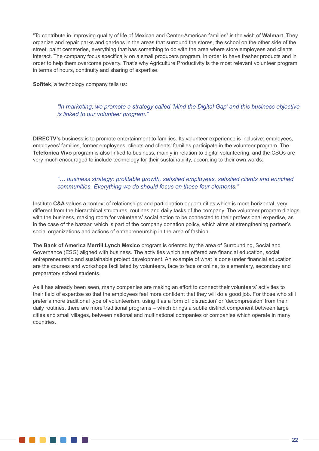"To contribute in improving quality of life of Mexican and Center-American families" is the wish of **Walmart**. They organize and repair parks and gardens in the areas that surround the stores, the school on the other side of the street, paint cemeteries, everything that has something to do with the area where store employees and clients interact. The company focus specifically on a small producers program, in order to have fresher products and in order to help them overcome poverty. That's why Agriculture Productivity is the most relevant volunteer program in terms of hours, continuity and sharing of expertise.

**Softtek**, a technology company tells us:

# *"In marketing, we promote a strategy called 'Mind the Digital Gap' and this business objective is linked to our volunteer program."*

**DIRECTV's** business is to promote entertainment to families. Its volunteer experience is inclusive: employees, employees' families, former employees, clients and clients' families participate in the volunteer program. The **Telefonica Vivo** program is also linked to business, mainly in relation to digital volunteering, and the CSOs are very much encouraged to include technology for their sustainability, according to their own words:

# *"… business strategy: profitable growth, satisfied employees, satisfied clients and enriched communities. Everything we do should focus on these four elements."*

Instituto **C&A** values a context of relationships and participation opportunities which is more horizontal, very different from the hierarchical structures, routines and daily tasks of the company. The volunteer program dialogs with the business, making room for volunteers' social action to be connected to their professional expertise, as in the case of the bazaar, which is part of the company donation policy, which aims at strengthening partner's social organizations and actions of entrepreneurship in the area of fashion.

The **Bank of America Merrill Lynch Mexico** program is oriented by the area of Surrounding, Social and Governance (ESG) aligned with business. The activities which are offered are financial education, social entrepreneurship and sustainable project development. An example of what is done under financial education are the courses and workshops facilitated by volunteers, face to face or online, to elementary, secondary and preparatory school students.

As it has already been seen, many companies are making an effort to connect their volunteers' activities to their field of expertise so that the employees feel more confident that they will do a good job. For those who still prefer a more traditional type of volunteerism, using it as a form of 'distraction' or 'decompression' from their daily routines, there are more traditional programs – which brings a subtle distinct component between large cities and small villages, between national and multinational companies or companies which operate in many countries.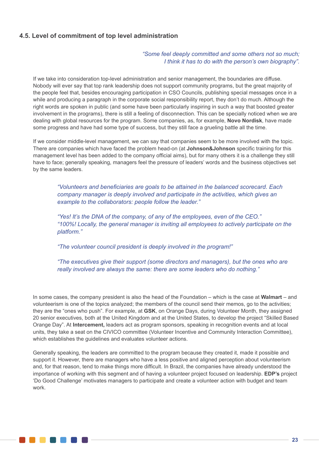# **4.5. Level of commitment of top level administration**

#### *"Some feel deeply committed and some others not so much; I think it has to do with the person's own biography".*

If we take into consideration top-level administration and senior management, the boundaries are diffuse. Nobody will ever say that top rank leadership does not support community programs, but the great majority of the people feel that, besides encouraging participation in CSO Councils, publishing special messages once in a while and producing a paragraph in the corporate social responsibility report, they don't do much. Although the right words are spoken in public (and some have been particularly inspiring in such a way that boosted greater involvement in the programs), there is still a feeling of disconnection. This can be specially noticed when we are dealing with global resources for the program. Some companies, as, for example, **Novo Nordisk**, have made some progress and have had some type of success, but they still face a grueling battle all the time.

If we consider middle-level management, we can say that companies seem to be more involved with the topic. There are companies which have faced the problem head-on (at **Johnson&Johnson** specific training for this management level has been added to the company official aims), but for many others it is a challenge they still have to face; generally speaking, managers feel the pressure of leaders' words and the business objectives set by the same leaders.

*"Volunteers and beneficiaries are goals to be attained in the balanced scorecard. Each company manager is deeply involved and participate in the activities, which gives an example to the collaborators: people follow the leader."*

*"Yes! It's the DNA of the company, of any of the employees, even of the CEO." "100%! Locally, the general manager is inviting all employees to actively participate on the platform."*

*"The volunteer council president is deeply involved in the program!"*

*"The executives give their support (some directors and managers), but the ones who are really involved are always the same: there are some leaders who do nothing."*

In some cases, the company president is also the head of the Foundation – which is the case at **Walmart** – and volunteerism is one of the topics analyzed; the members of the council send their memos, go to the activities; they are the "ones who push". For example, at **GSK**, on Orange Days, during Volunteer Month, they assigned 20 senior executives, both at the United Kingdom and at the United States, to develop the project "Skilled Based Orange Day". At **Intercement,** leaders act as program sponsors, speaking in recognition events and at local units, they take a seat on the CIVICO committee (Volunteer Incentive and Community Interaction Committee), which establishes the quidelines and evaluates volunteer actions.

Generally speaking, the leaders are committed to the program because they created it, made it possible and support it. However, there are managers who have a less positive and aligned perception about volunteerism and, for that reason, tend to make things more difficult. In Brazil, the companies have already understood the importance of working with this segment and of having a volunteer project focused on leadership. **EDP's** project 'Do Good Challenge' motivates managers to participate and create a volunteer action with budget and team work.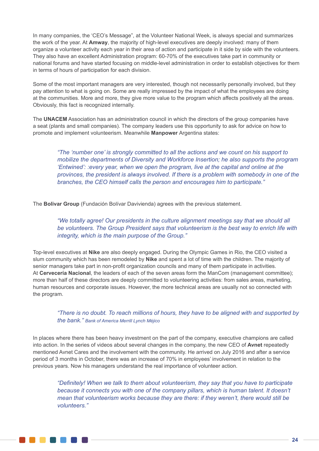In many companies, the 'CEO's Message", at the Volunteer National Week, is always special and summarizes the work of the year. At **Amway**, the majority of high-level executives are deeply involved: many of them organize a volunteer activity each year in their area of action and participate in it side by side with the volunteers. They also have an excellent Administration program: 60-70% of the executives take part in community or national forums and have started focusing on middle-level administration in order to establish objectives for them in terms of hours of participation for each division.

Some of the most important managers are very interested, though not necessarily personally involved, but they pay attention to what is going on. Some are really impressed by the impact of what the employees are doing at the communities. More and more, they give more value to the program which affects positively all the areas. Obviously, this fact is recognized internally.

The **UNACEM** Association has an administration council in which the directors of the group companies have a seat (plants and small companies). The company leaders use this opportunity to ask for advice on how to promote and implement volunteerism. Meanwhile **Manpower** Argentina states:

*"The 'number one' is strongly committed to all the actions and we count on his support to mobilize the departments of Diversity and Workforce Insertion; he also supports the program 'Entwined': :every year, when we open the program, live at the capital and online at the provinces, the president is always involved. If there is a problem with somebody in one of the branches, the CEO himself calls the person and encourages him to participate."*

The **Bolivar Group** (Fundación Bolívar Davivienda) agrees with the previous statement.

*"We totally agree! Our presidents in the culture alignment meetings say that we should all be volunteers. The Group President says that volunteerism is the best way to enrich life with integrity, which is the main purpose of the Group."*

Top-level executives at **Nike** are also deeply engaged. During the Olympic Games in Rio, the CEO visited a slum community which has been remodeled by **Nike** and spent a lot of time with the children. The majority of senior managers take part in non-profit organization councils and many of them participate in activities. At **Cervecería Nacional**, the leaders of each of the seven areas form the ManCom (management committee); more than half of these directors are deeply committed to volunteering activities: from sales areas, marketing, human resources and corporate issues. However, the more technical areas are usually not so connected with the program.

# *"There is no doubt. To reach millions of hours, they have to be aligned with and supported by the bank." Bank of America Merrill Lynch Méjico*

In places where there has been heavy investment on the part of the company, executive champions are called into action. In the series of videos about several changes in the company, the new CEO of **Avnet** repeatedly mentioned Avnet Cares and the involvement with the community. He arrived on July 2016 and after a service period of 3 months in October, there was an increase of 70% in employees' involvement in relation to the previous years. Now his managers understand the real importance of volunteer action.

**TERRIT DE L'ANNE** 

*"Definitely! When we talk to them about volunteerism, they say that you have to participate*  because it connects you with one of the company pillars, which is human talent. It doesn't *mean that volunteerism works because they are there: if they weren't, there would still be volunteers."*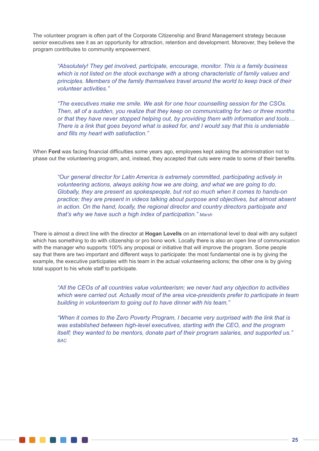The volunteer program is often part of the Corporate Citizenship and Brand Management strategy because senior executives see it as an opportunity for attraction, retention and development. Moreover, they believe the program contributes to community empowerment.

*"Absolutely! They get involved, participate, encourage, monitor. This is a family business which is not listed on the stock exchange with a strong characteristic of family values and principles. Members of the family themselves travel around the world to keep track of their volunteer activities."*

*"The executives make me smile. We ask for one hour counselling session for the CSOs. Then, all of a sudden, you realize that they keep on communicating for two or three months or that they have never stopped helping out, by providing them with information and tools… There is a link that goes beyond what is asked for, and I would say that this is undeniable and fills my heart with satisfaction."*

When **Ford** was facing financial difficulties some years ago, employees kept asking the administration not to phase out the volunteering program, and, instead, they accepted that cuts were made to some of their benefits.

*"Our general director for Latin America is extremely committed, participating actively in volunteering actions, always asking how we are doing, and what we are going to do. Globally, they are present as spokespeople, but not so much when it comes to hands-on practice; they are present in videos talking about purpose and objectives, but almost absent in action. On the hand, locally, the regional director and country directors participate and that's why we have such a high index of participation." Marsh*

There is almost a direct line with the director at **Hogan Lovells** on an international level to deal with any subject which has something to do with citizenship or pro bono work. Locally there is also an open line of communication with the manager who supports 100% any proposal or initiative that will improve the program. Some people say that there are two important and different ways to participate: the most fundamental one is by giving the example, the executive participates with his team in the actual volunteering actions; the other one is by giving total support to his whole staff to participate.

*"All the CEOs of all countries value volunteerism; we never had any objection to activities which were carried out. Actually most of the area vice-presidents prefer to participate in team building in volunteerism to going out to have dinner with his team."*

*"When it comes to the Zero Poverty Program, I became very surprised with the link that is was established between high-level executives, starting with the CEO, and the program itself; they wanted to be mentors, donate part of their program salaries, and supported us." BAC*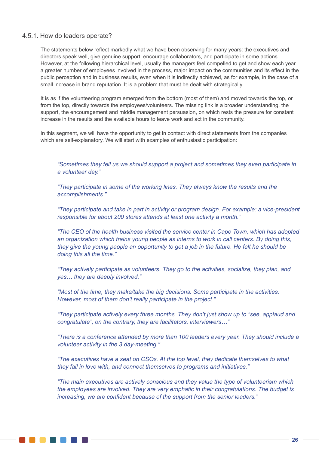#### 4.5.1. How do leaders operate?

The statements below reflect markedly what we have been observing for many years: the executives and directors speak well, give genuine support, encourage collaborators, and participate in some actions. However, at the following hierarchical level, usually the managers feel compelled to get and show each year a greater number of employees involved in the process, major impact on the communities and its effect in the public perception and in business results, even when it is indirectly achieved, as for example, in the case of a small increase in brand reputation. It is a problem that must be dealt with strategically.

It is as if the volunteering program emerged from the bottom (most of them) and moved towards the top, or from the top, directly towards the employees/volunteers. The missing link is a broader understanding, the support, the encouragement and middle management persuasion, on which rests the pressure for constant increase in the results and the available hours to leave work and act in the community.

In this segment, we will have the opportunity to get in contact with direct statements from the companies which are self-explanatory. We will start with examples of enthusiastic participation:

*"Sometimes they tell us we should support a project and sometimes they even participate in a volunteer day."*

*"They participate in some of the working lines. They always know the results and the accomplishments."*

*"They participate and take in part in activity or program design. For example: a vice-president responsible for about 200 stores attends at least one activity a month."*

*"The CEO of the health business visited the service center in Cape Town, which has adopted an organization which trains young people as interns to work in call centers. By doing this, they give the young people an opportunity to get a job in the future. He felt he should be doing this all the time."*

*"They actively participate as volunteers. They go to the activities, socialize, they plan, and yes… they are deeply involved."*

*"Most of the time, they make/take the big decisions. Some participate in the activities. However, most of them don't really participate in the project."*

*"They participate actively every three months. They don't just show up to "see, applaud and congratulate", on the contrary, they are facilitators, interviewers…"*

*"There is a conference attended by more than 100 leaders every year. They should include a volunteer activity in the 3 day-meeting."*

*"The executives have a seat on CSOs. At the top level, they dedicate themselves to what they fall in love with, and connect themselves to programs and initiatives."*

*"The main executives are actively conscious and they value the type of volunteerism which the employees are involved. They are very emphatic in their congratulations. The budget is increasing, we are confident because of the support from the senior leaders."*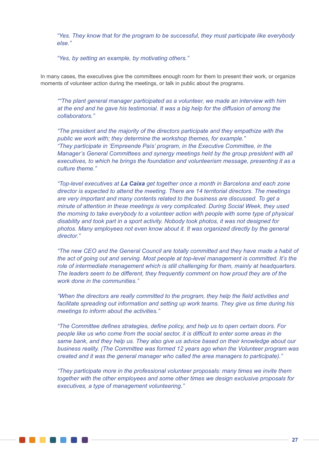*"Yes. They know that for the program to be successful, they must participate like everybody else."*

*"Yes, by setting an example, by motivating others."*

In many cases, the executives give the committees enough room for them to present their work, or organize moments of volunteer action during the meetings, or talk in public about the programs.

*""The plant general manager participated as a volunteer, we made an interview with him at the end and he gave his testimonial. It was a big help for the diffusion of among the collaborators."*

*"The president and the majority of the directors participate and they empathize with the public we work with; they determine the workshop themes, for example." "They participate in 'Empreende País' program, in the Executive Committee, in the Manager's General Committees and synergy meetings held by the group president with all executives, to which he brings the foundation and volunteerism message, presenting it as a culture theme."*

*"Top-level executives at La Caixa get together once a month in Barcelona and each zone director is expected to attend the meeting. There are 14 territorial directors. The meetings are very important and many contents related to the business are discussed. To get a minute of attention in these meetings is very complicated. During Social Week, they used the morning to take everybody to a volunteer action with people with some type of physical disability and took part in a sport activity. Nobody took photos, it was not designed for photos. Many employees not even know about it. It was organized directly by the general director."*

*"The new CEO and the General Council are totally committed and they have made a habit of the act of going out and serving. Most people at top-level management is committed. It's the role of intermediate management which is still challenging for them, mainly at headquarters. The leaders seem to be different, they frequently comment on how proud they are of the work done in the communities."*

*"When the directors are really committed to the program, they help the field activities and facilitate spreading out information and setting up work teams. They give us time during his meetings to inform about the activities."*

*"The Committee defines strategies, define policy, and help us to open certain doors. For people like us who come from the social sector, it is difficult to enter some areas in the same bank, and they help us. They also give us advice based on their knowledge about our business reality. (The Committee was formed 12 years ago when the Volunteer program was created and it was the general manager who called the area managers to participate)."*

*"They participate more in the professional volunteer proposals: many times we invite them together with the other employees and some other times we design exclusive proposals for executives, a type of management volunteering."*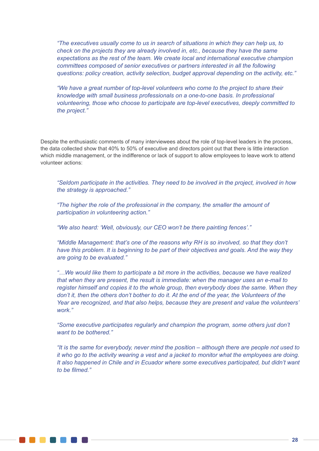*"The executives usually come to us in search of situations in which they can help us, to check on the projects they are already involved in, etc., because they have the same expectations as the rest of the team. We create local and international executive champion committees composed of senior executives or partners interested in all the following questions: policy creation, activity selection, budget approval depending on the activity, etc."*

*"We have a great number of top-level volunteers who come to the project to share their knowledge with small business professionals on a one-to-one basis. In professional volunteering, those who choose to participate are top-level executives, deeply committed to the project."*

Despite the enthusiastic comments of many interviewees about the role of top-level leaders in the process, the data collected show that 40% to 50% of executive and directors point out that there is little interaction which middle management, or the indifference or lack of support to allow employees to leave work to attend volunteer actions:

*"Seldom participate in the activities. They need to be involved in the project, involved in how the strategy is approached."*

*"The higher the role of the professional in the company, the smaller the amount of participation in volunteering action."*

*"We also heard: 'Well, obviously, our CEO won't be there painting fences'."*

*"Middle Management: that's one of the reasons why RH is so involved, so that they don't have this problem. It is beginning to be part of their objectives and goals. And the way they are going to be evaluated."*

*"…We would like them to participate a bit more in the activities, because we have realized that when they are present, the result is immediate: when the manager uses an e-mail to register himself and copies it to the whole group, then everybody does the same. When they don't it, then the others don't bother to do it. At the end of the year, the Volunteers of the Year are recognized, and that also helps, because they are present and value the volunteers' work."*

*"Some executive participates regularly and champion the program, some others just don't want to be bothered."*

*"It is the same for everybody, never mind the position – although there are people not used to it who go to the activity wearing a vest and a jacket to monitor what the employees are doing. It also happened in Chile and in Ecuador where some executives participated, but didn't want to be filmed."*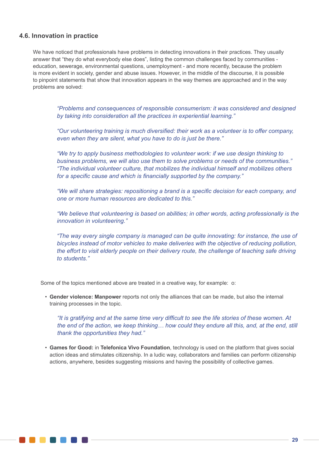# **4.6. Innovation in practice**

We have noticed that professionals have problems in detecting innovations in their practices. They usually answer that "they do what everybody else does", listing the common challenges faced by communities education, sewerage, environmental questions, unemployment - and more recently, because the problem is more evident in society, gender and abuse issues. However, in the middle of the discourse, it is possible to pinpoint statements that show that innovation appears in the way themes are approached and in the way problems are solved:

*"Problems and consequences of responsible consumerism: it was considered and designed by taking into consideration all the practices in experiential learning."* 

*"Our volunteering training is much diversified: their work as a volunteer is to offer company, even when they are silent, what you have to do is just be there."*

*"We try to apply business methodologies to volunteer work: if we use design thinking to business problems, we will also use them to solve problems or needs of the communities." "The individual volunteer culture, that mobilizes the individual himself and mobilizes others for a specific cause and which is financially supported by the company."*

*"We will share strategies: repositioning a brand is a specific decision for each company, and one or more human resources are dedicated to this."* 

*"We believe that volunteering is based on abilities; in other words, acting professionally is the innovation in volunteering."*

*"The way every single company is managed can be quite innovating: for instance, the use of bicycles instead of motor vehicles to make deliveries with the objective of reducing pollution, the effort to visit elderly people on their delivery route, the challenge of teaching safe driving to students."*

Some of the topics mentioned above are treated in a creative way, for example: o:

• **Gender violence: Manpower** reports not only the alliances that can be made, but also the internal training processes in the topic.

*"It is gratifying and at the same time very difficult to see the life stories of these women. At the end of the action, we keep thinking… how could they endure all this, and, at the end, still thank the opportunities they had."*

• **Games for Good:** in **Telefonica Vivo Foundation**, technology is used on the platform that gives social action ideas and stimulates citizenship. In a ludic way, collaborators and families can perform citizenship actions, anywhere, besides suggesting missions and having the possibility of collective games.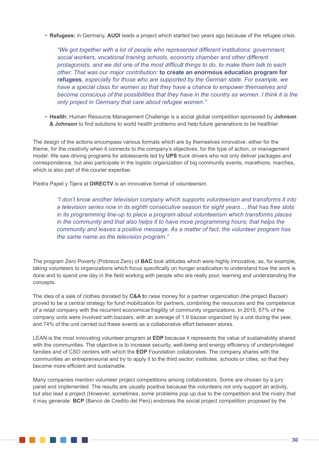• **Refugees:** in Germany, **AUDI** leads a project which started two years ago because of the refugee crisis.

*"We got together with a lot of people who represented different institutions: government, social workers, vocational training schools, economy chamber and other different protagonists, and we did one of the most difficult things to do, to make them talk to each other. That was our major contribution:* **to create an enormous education program for refugees***, especially for those who are supported by the German state. For example, we have a special class for women so that they have a chance to empower themselves and become conscious of the possibilities that they have in the country as women. I think it is the only project in Germany that care about refugee women."* 

• **Health:** Human Resource Management Challenge is a social global competition sponsored by **Johnson & Johnson** to find solutions to world health problems and help future generations to be healthier

The design of the actions encompass various formats which are by themselves innovative, either for the theme, for the creativity when it connects to the company's objectives, for the type of action, or management model. We saw driving programs for adolescents led by **UPS** truck drivers who not only deliver packages and correspondence, but also participate in the logistic organization of big community events, marathons, marches, which is also part of the courier expertise.

Piedra Papel y Tijera at **DIRECTV** is an innovative format of volunteerism.

**Alban Maria Bara** 

*"I don't know another television company which supports volunteerism and transforms it into a television series now in its eighth consecutive season for eight years… that has free slots in its programming line-up to place a program about volunteerism which transforms places in the community and that also helps it to have more programming hours; that helps the community and leaves a positive message. As a matter of fact, the volunteer program has the same name as the television program."*

The program Zero Poverty (Pobreza Zero) of **BAC** took attitudes which were highly innovative, as, for example, taking volunteers to organizations which focus specifically on hunger eradication to understand how the work is done and to spend one day in the field working with people who are really poor, learning and understanding the concepts.

The idea of a sale of clothes donated by **C&A t**o raise money for a partner organization (the project Bazaar) proved to be a central strategy for fund mobilization for partners, combining the resources and the competence of a retail company with the recurrent economical fragility of community organizations. In 2015, 67% of the company units were involved with bazaars, with an average of 1.6 bazaar organized by a unit during the year, and 74% of the unit carried out these events as a collaborative effort between stores.

LEAN is the most innovating volunteer program at **EDP** because it represents the value of sustainability shared with the communities. The objective is to increase security, well-being and energy efficiency of underprivileged families and of CSO centers with which the **EDP** Foundation collaborates. The company shares with the communities an entrepreneurial and try to apply it to the third sector, institutes, schools or cities, so that they become more efficient and sustainable.

Many companies mention volunteer project competitions among collaborators. Some are chosen by a jury panel and implemented. The results are usually positive because the volunteers not only support an activity, but also lead a project (However, sometimes, some problems pop up due to the competition and the rivalry that it may generate. **BCP** (Banco de Credito del Perú) endorses the social project competition proposed by the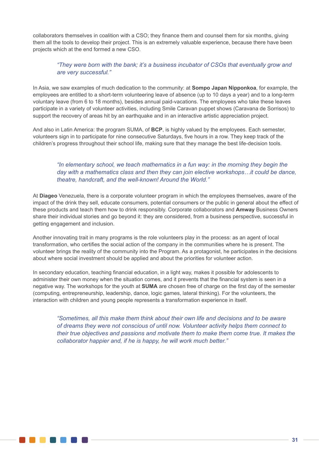collaborators themselves in coalition with a CSO; they finance them and counsel them for six months, giving them all the tools to develop their project. This is an extremely valuable experience, because there have been projects which at the end formed a new CSO.

# *"They were born with the bank; it's a business incubator of CSOs that eventually grow and are very successful."*

In Asia, we saw examples of much dedication to the community: at **Sompo Japan Nipponkoa**, for example, the employees are entitled to a short-term volunteering leave of absence (up to 10 days a year) and to a long-term voluntary leave (from 6 to 18 months), besides annual paid-vacations. The employees who take these leaves participate in a variety of volunteer activities, including Smile Caravan puppet shows (Caravana de Sorrisos) to support the recovery of areas hit by an earthquake and in an interactive artistic appreciation project.

And also in Latin America: the program SUMA, of **BCP**, is highly valued by the employees. Each semester, volunteers sign in to participate for nine consecutive Saturdays, five hours in a row. They keep track of the children's progress throughout their school life, making sure that they manage the best life-decision tools.

# *"In elementary school, we teach mathematics in a fun way: in the morning they begin the day with a mathematics class and then they can join elective workshops…it could be dance, theatre, handcraft, and the well-known! Around the World."*

At **Diageo** Venezuela, there is a corporate volunteer program in which the employees themselves, aware of the impact of the drink they sell, educate consumers, potential consumers or the public in general about the effect of these products and teach them how to drink responsibly. Corporate collaborators and **Amway** Business Owners share their individual stories and go beyond it: they are considered, from a business perspective, successful in getting engagement and inclusion.

Another innovating trait in many programs is the role volunteers play in the process: as an agent of local transformation, who certifies the social action of the company in the communities where he is present. The volunteer brings the reality of the community into the Program. As a protagonist, he participates in the decisions about where social investment should be applied and about the priorities for volunteer action.

In secondary education, teaching financial education, in a light way, makes it possible for adolescents to administer their own money when the situation comes, and it prevents that the financial system is seen in a negative way. The workshops for the youth at **SUMA** are chosen free of charge on the first day of the semester (computing, entrepreneurship, leadership, dance, logic games, lateral thinking). For the volunteers, the interaction with children and young people represents a transformation experience in itself.

*"Sometimes, all this make them think about their own life and decisions and to be aware of dreams they were not conscious of until now. Volunteer activity helps them connect to their true objectives and passions and motivate them to make them come true. It makes the collaborator happier and, if he is happy, he will work much better."*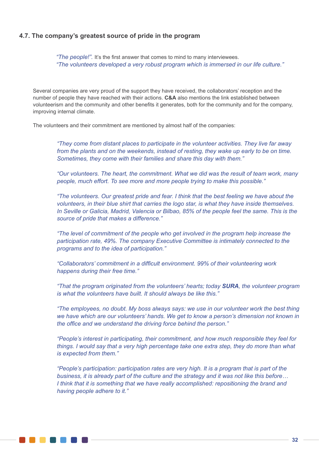# **4.7. The company's greatest source of pride in the program**

*"The people!".* It's the first answer that comes to mind to many interviewees. *"The volunteers developed a very robust program which is immersed in our life culture."*

Several companies are very proud of the support they have received, the collaborators' reception and the number of people they have reached with their actions. **C&A** also mentions the link established between volunteerism and the community and other benefits it generates, both for the community and for the company, improving internal climate.

The volunteers and their commitment are mentioned by almost half of the companies:

*"They come from distant places to participate in the volunteer activities. They live far away from the plants and on the weekends, instead of resting, they wake up early to be on time. Sometimes, they come with their families and share this day with them."* 

*"Our volunteers. The heart, the commitment. What we did was the result of team work, many people, much effort. To see more and more people trying to make this possible."*

*"The volunteers. Our greatest pride and fear. I think that the best feeling we have about the volunteers, in their blue shirt that carries the logo star, is what they have inside themselves. In Seville or Galicia, Madrid, Valencia or Bilbao, 85% of the people feel the same. This is the source of pride that makes a difference."*

*"The level of commitment of the people who get involved in the program help increase the participation rate, 49%. The company Executive Committee is intimately connected to the programs and to the idea of participation."*

*"Collaborators' commitment in a difficult environment. 99% of their volunteering work happens during their free time."*

*"That the program originated from the volunteers' hearts; today SURA, the volunteer program is what the volunteers have built. It should always be like this."*

*"The employees, no doubt. My boss always says: we use in our volunteer work the best thing we have which are our volunteers' hands. We get to know a person's dimension not known in the office and we understand the driving force behind the person."*

*"People's interest in participating, their commitment, and how much responsible they feel for things. I would say that a very high percentage take one extra step, they do more than what is expected from them."*

*"People's participation: participation rates are very high. It is a program that is part of the business, it is already part of the culture and the strategy and it was not like this before… I think that it is something that we have really accomplished: repositioning the brand and having people adhere to it."*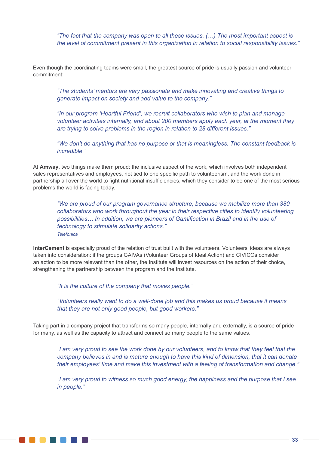*"The fact that the company was open to all these issues. (…) The most important aspect is the level of commitment present in this organization in relation to social responsibility issues."*

Even though the coordinating teams were small, the greatest source of pride is usually passion and volunteer commitment:

*"The students' mentors are very passionate and make innovating and creative things to generate impact on society and add value to the company."*

*"In our program 'Heartful Friend', we recruit collaborators who wish to plan and manage volunteer activities internally, and about 200 members apply each year, at the moment they are trying to solve problems in the region in relation to 28 different issues."*

*"We don't do anything that has no purpose or that is meaningless. The constant feedback is incredible."*

At **Amway**, two things make them proud: the inclusive aspect of the work, which involves both independent sales representatives and employees, not tied to one specific path to volunteerism, and the work done in partnership all over the world to fight nutritional insufficiencies, which they consider to be one of the most serious problems the world is facing today.

*"We are proud of our program governance structure, because we mobilize more than 380 collaborators who work throughout the year in their respective cities to identify volunteering possibilities… In addition, we are pioneers of Gamification in Brazil and in the use of technology to stimulate solidarity actions." Telefonica*

**InterCement** is especially proud of the relation of trust built with the volunteers. Volunteers' ideas are always taken into consideration: if the groups GAIVAs (Volunteer Groups of Ideal Action) and CIVICOs consider an action to be more relevant than the other, the Institute will invest resources on the action of their choice, strengthening the partnership between the program and the Institute.

*"It is the culture of the company that moves people."*

*"Volunteers really want to do a well-done job and this makes us proud because it means that they are not only good people, but good workers."*

Taking part in a company project that transforms so many people, internally and externally, is a source of pride for many, as well as the capacity to attract and connect so many people to the same values.

*"I am very proud to see the work done by our volunteers, and to know that they feel that the company believes in and is mature enough to have this kind of dimension, that it can donate their employees' time and make this investment with a feeling of transformation and change."*

*"I am very proud to witness so much good energy, the happiness and the purpose that I see in people."*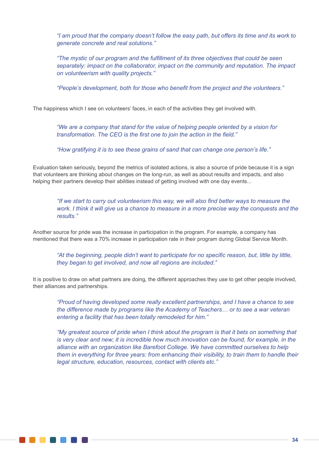*"I am proud that the company doesn't follow the easy path, but offers its time and its work to generate concrete and real solutions."*

*"The mystic of our program and the fulfillment of its three objectives that could be seen separately: impact on the collaborator, impact on the community and reputation. The impact on volunteerism with quality projects."*

*"People's development, both for those who benefit from the project and the volunteers."*

The happiness which I see on volunteers' faces, in each of the activities they get involved with.

*"We are a company that stand for the value of helping people oriented by a vision for transformation. The CEO is the first one to join the action in the field."*

*"How gratifying it is to see these grains of sand that can change one person's life."*

Evaluation taken seriously, beyond the metrics of isolated actions, is also a source of pride because it is a sign that volunteers are thinking about changes on the long-run, as well as about results and impacts, and also helping their partners develop their abilities instead of getting involved with one day events...

*"If we start to carry out volunteerism this way, we will also find better ways to measure the work. I think it will give us a chance to measure in a more precise way the conquests and the results."*

Another source for pride was the increase in participation in the program. For example, a company has mentioned that there was a 70% increase in participation rate in their program during Global Service Month.

*"At the beginning, people didn't want to participate for no specific reason, but, little by little, they began to get involved, and now all regions are included."*

It is positive to draw on what partners are doing, the different approaches they use to get other people involved, their alliances and partnerships.

*"Proud of having developed some really excellent partnerships, and I have a chance to see the difference made by programs like the Academy of Teachers… or to see a war veteran entering a facility that has been totally remodeled for him."* 

*"My greatest source of pride when I think about the program is that it bets on something that is very clear and new; it is incredible how much innovation can be found, for example, in the alliance with an organization like Barefoot College. We have committed ourselves to help them in everything for three years: from enhancing their visibility, to train them to handle their legal structure, education, resources, contact with clients etc."*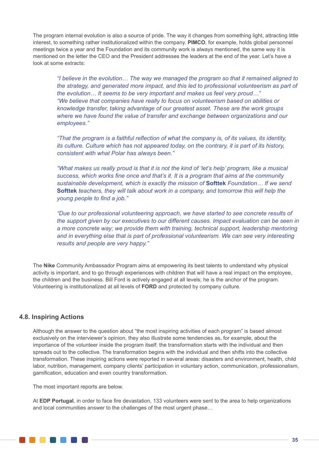The program internal evolution is also a source of pride. The way it changes from something light, attracting little interest, to something rather institutionalized within the company. **PIMCO**, for example, holds global personnel meetings twice a year and the Foundation and its community work is always mentioned, the same way it is mentioned on the letter the CEO and the President addresses the leaders at the end of the year. Let's have a look at some extracts:

*"I believe in the evolution… The way we managed the program so that it remained aligned to the strategy, and generated more impact, and this led to professional volunteerism as part of the evolution… It seems to be very important and makes us feel very proud…" "We believe that companies have really to focus on volunteerism based on abilities or knowledge transfer, taking advantage of our greatest asset. These are the work groups where we have found the value of transfer and exchange between organizations and our employees."*

*"That the program is a faithful reflection of what the company is, of its values, its identity, its culture. Culture which has not appeared today, on the contrary, it is part of its history, consistent with what Polar has always been."*

*"What makes us really proud is that it is not the kind of 'let's help' program, like a musical success, which works fine once and that's it. It is a program that aims at the community sustainable development, which is exactly the mission of* **Softtek** *Foundation… If we send*  **Softtek** *teachers, they will talk about work in a company, and tomorrow this will help the young people to find a job."*

*"Due to our professional volunteering approach, we have started to see concrete results of the support given by our executives to our different causes. Impact evaluation can be seen in a more concrete way; we provide them with training, technical support, leadership mentoring and in everything else that is part of professional volunteerism. We can see very interesting results and people are very happy."*

The **Nike** Community Ambassador Program aims at empowering its best talents to understand why physical activity is important, and to go through experiences with children that will have a real impact on the employee, the children and the business. Bill Ford is actively engaged at all levels; he is the anchor of the program. Volunteering is institutionalized at all levels of **FORD** and protected by company culture.

# **4.8. Inspiring Actions**

Although the answer to the question about "the most inspiring activities of each program" is based almost exclusively on the interviewer's opinion, they also illustrate some tendencies as, for example, about the importance of the volunteer inside the program itself: the transformation starts with the individual and then spreads out to the collective. The transformation begins with the individual and then shifts into the collective transformation. These inspiring actions were reported in several areas: disasters and environment, health, child labor, nutrition, management, company clients' participation in voluntary action, communication, professionalism, gamification, education and even country transformation.

The most important reports are below.

At **EDP Portugal**, in order to face fire devastation, 133 volunteers were sent to the area to help organizations and local communities answer to the challenges of the most urgent phase…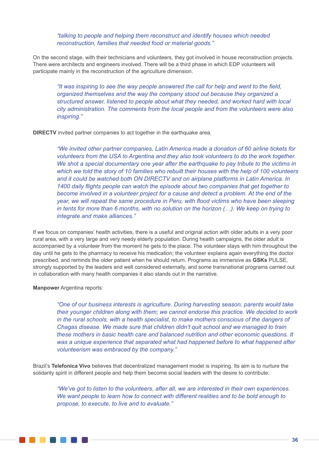*"talking to people and helping them reconstruct and identify houses which needed reconstruction, families that needed food or material goods."*

On the second stage, with their technicians and volunteers, they got involved in house reconstruction projects. There were architects and engineers involved. There will be a third phase in which EDP volunteers will participate mainly in the reconstruction of the agriculture dimension.

*"It was inspiring to see the way people answered the call for help and went to the field, organized themselves and the way the company stood out because they organized a structured answer, listened to people about what they needed, and worked hard with local city administration. The comments from the local people and from the volunteers were also inspiring."*

**DIRECTV** invited partner companies to act together in the earthquake area.

*"We invited other partner companies, Latin America made a donation of 60 airline tickets for volunteers from the USA to Argentina and they also took volunteers to do the work together. We shot a special documentary one year after the earthquake to pay tribute to the victims in which we told the story of 10 families who rebuilt their houses with the help of 100 volunteers and it could be watched both ON DIRECTV and on airplane platforms in Latin America. In 1400 daily flights people can watch the episode about two companies that get together to become involved in a volunteer project for a cause and detect a problem. At the end of the year, we will repeat the same procedure in Peru, with flood victims who have been sleeping in tents for more than 6 months, with no solution on the horizon (…). We keep on trying to integrate and make alliances."*

If we focus on companies' health activities, there is a useful and original action with older adults in a very poor rural area, with a very large and very needy elderly population. During health campaigns, the older adult is accompanied by a volunteer from the moment he gets to the place. The volunteer stays with him throughout the day until he gets to the pharmacy to receive his medication; the volunteer explains again everything the doctor prescribed, and reminds the older patient when he should return. Programs as immersive as **GSKs** PULSE, strongly supported by the leaders and well considered externally, and some transnational programs carried out in collaboration with many health companies it also stands out in the narrative.

**Manpower** Argentina reports:

*"One of our business interests is agriculture. During harvesting season, parents would take their younger children along with them; we cannot endorse this practice. We decided to work in the rural schools, with a health specialist, to make mothers conscious of the dangers of Chagas disease. We made sure that children didn't quit school and we managed to train these mothers in basic health care and balanced nutrition and other economic questions. It was a unique experience that separated what had happened before to what happened after volunteerism was embraced by the company."*

Brazil's **Telefonica Vivo** believes that decentralized management model is inspiring. Its aim is to nurture the solidarity spirit in different people and help them become social leaders with the desire to contribute:

*"We've got to listen to the volunteers, after all, we are interested in their own experiences. We want people to learn how to connect with different realities and to be bold enough to propose, to execute, to live and to evaluate."*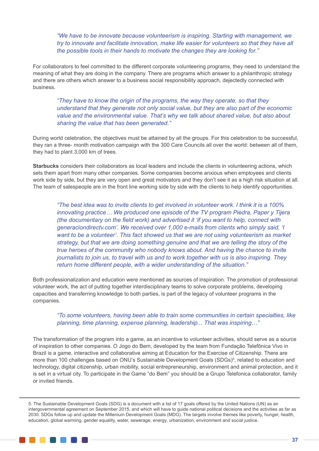*"We have to be innovate because volunteerism is inspiring. Starting with management, we try to innovate and facilitate innovation, make life easier for volunteers so that they have all the possible tools in their hands to motivate the changes they are looking for."*

For collaborators to feel committed to the different corporate volunteering programs, they need to understand the meaning of what they are doing in the company. There are programs which answer to a philanthropic strategy and there are others which answer to a business social responsibility approach, dejectedly connected with business.

*"They have to know the origin of the programs, the way they operate, so that they understand that they generate not only social value, but they are also part of the economic value and the environmental value. That's why we talk about shared value, but also about sharing the value that has been generated."*

During world celebration, the objectives must be attained by all the groups. For this celebration to be successful, they ran a three- month motivation campaign with the 300 Care Councils all over the world: between all of them, they had to plant 3,000 km of trees.

**Starbucks** considers their collaborators as local leaders and include the clients in volunteering actions, which sets them apart from many other companies. Some companies become anxious when employees and clients work side by side, but they are very open and great motivators and they don't see it as a high risk situation at all. The team of salespeople are in the front line working side by side with the clients to help identify opportunities.

*"The best idea was to invite clients to get involved in volunteer work. I think it is a 100% innovating practice… We produced one episode of the TV program Piedra, Paper y Tijera (the documentary on the field work) and advertised it 'if you want to help, connect with generaciondirectv.com'. We received over 1,000 e-mails from clients who simply said, 'I want to be a volunteer'. This fact showed us that we are not using volunteerism as market strategy, but that we are doing something genuine and that we are telling the story of the true heroes of the community who nobody knows about. And having the chance to invite journalists to join us, to travel with us and to work together with us is also inspiring. They return home different people, with a wider understanding of the situation."* 

Both professionalization and education were mentioned as sources of inspiration. The promotion of professional volunteer work, the act of putting together interdisciplinary teams to solve corporate problems, developing capacities and transferring knowledge to both parties, is part of the legacy of volunteer programs in the companies.

# *"To some volunteers, having been able to train some communities in certain specialties, like planning, time planning, expense planning, leadership... That was inspiring…"*

The transformation of the program into a game, as an incentive to volunteer activities, should serve as a source of inspiration to other companies. O Jogo do Bem, developed by the team from Fundação Telefônica Vivo in Brazil is a game, interactive and collaborative aiming at Education for the Exercise of Citizenship. There are more than 100 challenges based on ONU's Sustainable Development Goals (SDGs)<sup>5</sup>, related to education and technology, digital citizenship, urban mobility, social entrepreneurship, environment and animal protection, and it is set in a virtual city. To participate in the Game "do Bem" you should be a Grupo Telefonica collaborator, family or invited friends.

<sup>5.</sup> The Sustainable Development Goals (SDG) is a document with a list of 17 goals offered by the United Nations (UN) as an intergovernmental agreement on September 2015, and which will have to guide national political decisions and the activities as far as 2030. SDGs follow up and update the Millenium Development Goals (MDG). The targets involve themes like poverty, hunger, health, education, global warming, gender equality, water, sewerage, energy, urbanization, environment and social justice.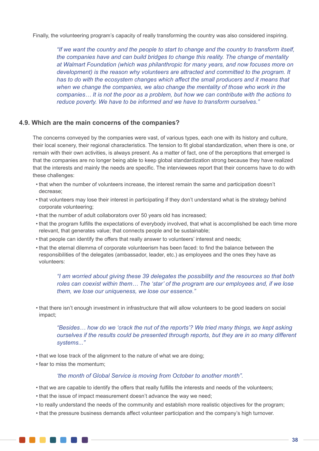Finally, the volunteering program's capacity of really transforming the country was also considered inspiring.

*"If we want the country and the people to start to change and the country to transform itself, the companies have and can build bridges to change this reality. The change of mentality at Walmart Foundation (which was philanthropic for many years, and now focuses more on development) is the reason why volunteers are attracted and committed to the program. It has to do with the ecosystem changes which affect the small producers and it means that when we change the companies, we also change the mentality of those who work in the companies… It is not the poor as a problem, but how we can contribute with the actions to reduce poverty. We have to be informed and we have to transform ourselves."* 

# **4.9. Which are the main concerns of the companies?**

The concerns conveyed by the companies were vast, of various types, each one with its history and culture, their local scenery, their regional characteristics. The tension to fit global standardization, when there is one, or remain with their own activities, is always present. As a matter of fact, one of the perceptions that emerged is that the companies are no longer being able to keep global standardization strong because they have realized that the interests and mainly the needs are specific. The interviewees report that their concerns have to do with these challenges:

- that when the number of volunteers increase, the interest remain the same and participation doesn't decrease;
- that volunteers may lose their interest in participating if they don't understand what is the strategy behind corporate volunteering;
- that the number of adult collaborators over 50 years old has increased;
- that the program fulfills the expectations of everybody involved, that what is accomplished be each time more relevant, that generates value; that connects people and be sustainable;
- that people can identify the offers that really answer to volunteers' interest and needs;
- that the eternal dilemma of corporate volunteerism has been faced: to find the balance between the responsibilities of the delegates (ambassador, leader, etc.) as employees and the ones they have as volunteers:

*"I am worried about giving these 39 delegates the possibility and the resources so that both roles can coexist within them… The 'star' of the program are our employees and, if we lose them, we lose our uniqueness, we lose our essence."* 

• that there isn't enough investment in infrastructure that will allow volunteers to be good leaders on social impact;

*"Besides… how do we 'crack the nut of the reports'? We tried many things, we kept asking ourselves if the results could be presented through reports, but they are in so many different systems..."*

- that we lose track of the alignment to the nature of what we are doing;
- fear to miss the momentum;

#### *'the month of Global Service is moving from October to another month".*

- that we are capable to identify the offers that really fulfills the interests and needs of the volunteers;
- that the issue of impact measurement doesn't advance the way we need;
- to really understand the needs of the community and establish more realistic objectives for the program;
- that the pressure business demands affect volunteer participation and the company's high turnover.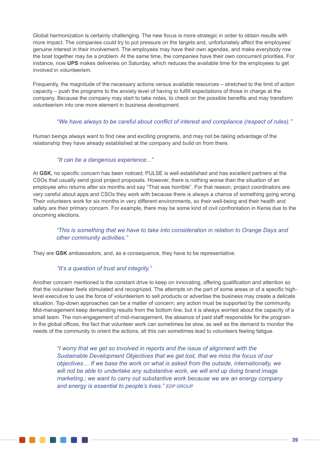Global harmonization is certainly challenging. The new focus is more strategic in order to obtain results with more impact. The companies could try to put pressure on the targets and, unfortunately affect the employees' genuine interest in their involvement. The employees may have their own agendas, and make everybody row the boat together may be a problem. At the same time, the companies have their own concurrent priorities. For instance, now **UPS** makes deliveries on Saturday, which reduces the available time for the employees to get involved in volunteerism.

Frequently, the magnitude of the necessary actions versus available resources – stretched to the limit of action capacity – push the programs to the anxiety level of having to fulfill expectations of those in charge at the company. Because the company may start to take notes, to check on the possible benefits and may transform volunteerism into one more element in business development.

### *"We have always to be careful about conflict of interest and compliance (respect of rules)."*

Human beings always want to find new and exciting programs, and may not be taking advantage of the relationship they have already established at the company and build on from there.

#### *"It can be a dangerous experience..."*

At **GSK**, no specific concern has been noticed; PULSE is well established and has excellent partners at the CSOs that usually send good project proposals. However, there is nothing worse than the situation of an employee who returns after six months and say "That was horrible". For that reason, project coordinators are very careful about apps and CSOs they work with because there is always a chance of something going wrong. Their volunteers work for six months in very different environments, so their well-being and their health and safety are their primary concern. For example, there may be some kind of civil confrontation in Kenia due to the oncoming elections.

# *"This is something that we have to take into consideration in relation to Orange Days and other community activities."*

They are **GSK** ambassadors, and, as a consequence, they have to be representative.

# *"It's a question of trust and integrity."*

**. . . . .** .

Another concern mentioned is the constant drive to keep on innovating, offering qualification and attention so that the volunteer feels stimulated and recognized. The attempts on the part of some areas or of a specific highlevel executive to use the force of volunteerism to sell products or advertise the business may create a delicate situation. Top-down approaches can be a matter of concern; any action must be supported by the community. Mid-management keep demanding results from the bottom line, but it is always worried about the capacity of a small team. The non-engagement of mid-management, the absence of paid staff responsible for the program in the global offices, the fact that volunteer work can sometimes be slow, as well as the demand to monitor the needs of the community to orient the actions, all this can sometimes lead to volunteers feeling fatigue.

*"I worry that we get so involved in reports and the issue of alignment with the Sustainable Development Objectives that we get lost, that we miss the focus of our objectives… If we base the work on what is asked from the outside, internationally, we*  will not be able to undertake any substantive work, we will end up doing brand image *marketing.; we want to carry out substantive work because we are an energy company and energy is essential to people's lives." EDP GROUP*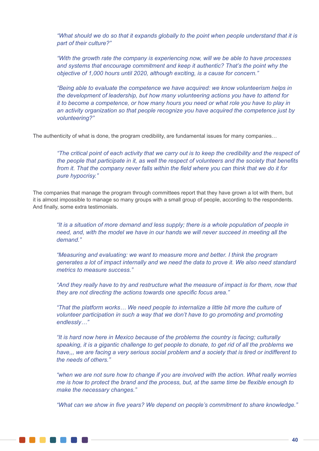*"What should we do so that it expands globally to the point when people understand that it is part of their culture?"*

*"With the growth rate the company is experiencing now, will we be able to have processes and systems that encourage commitment and keep it authentic? That's the point why the objective of 1,000 hours until 2020, although exciting, is a cause for concern."* 

*"Being able to evaluate the competence we have acquired: we know volunteerism helps in the development of leadership, but how many volunteering actions you have to attend for it to become a competence, or how many hours you need or what role you have to play in an activity organization so that people recognize you have acquired the competence just by volunteering?"*

The authenticity of what is done, the program credibility, are fundamental issues for many companies...

*"The critical point of each activity that we carry out is to keep the credibility and the respect of the people that participate in it, as well the respect of volunteers and the society that benefits from it. That the company never falls within the field where you can think that we do it for pure hypocrisy."*

The companies that manage the program through committees report that they have grown a lot with them, but it is almost impossible to manage so many groups with a small group of people, according to the respondents. And finally, some extra testimonials.

*"It is a situation of more demand and less supply; there is a whole population of people in need, and, with the model we have in our hands we will never succeed in meeting all the demand."*

*"Measuring and evaluating: we want to measure more and better. I think the program generates a lot of impact internally and we need the data to prove it. We also need standard metrics to measure success."*

*"And they really have to try and restructure what the measure of impact is for them, now that they are not directing the actions towards one specific focus area."*

*"That the platform works… We need people to internalize a little bit more the culture of volunteer participation in such a way that we don't have to go promoting and promoting endlessly…"*

*"It is hard now here in Mexico because of the problems the country is facing; culturally speaking, it is a gigantic challenge to get people to donate, to get rid of all the problems we have,,, we are facing a very serious social problem and a society that is tired or indifferent to the needs of others."*

*"when we are not sure how to change if you are involved with the action. What really worries me is how to protect the brand and the process, but, at the same time be flexible enough to make the necessary changes."*

*"What can we show in five years? We depend on people's commitment to share knowledge."*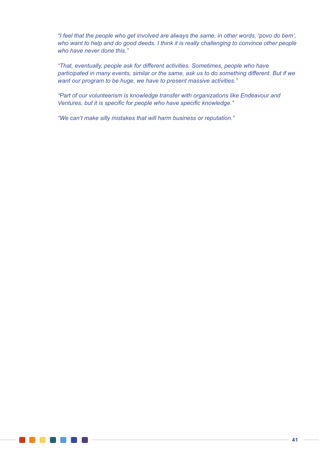*"I feel that the people who get involved are always the same, in other words, 'povo do bem', who want to help and do good deeds. I think it is really challenging to convince other people who have never done this."*

*"That, eventually, people ask for different activities. Sometimes, people who have participated in many events, similar or the same, ask us to do something different. But if we want our program to be huge, we have to present massive activities."*

*"Part of our volunteerism is knowledge transfer with organizations like Endeavour and Ventures, but it is specific for people who have specific knowledge."*

*"We can't make silly mistakes that will harm business or reputation."*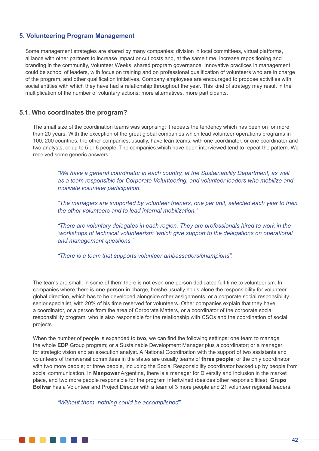# **5. Volunteering Program Management**

Some management strategies are shared by many companies: division in local committees, virtual platforms, alliance with other partners to increase impact or cut costs and, at the same time, increase repositioning and branding in the community, Volunteer Weeks, shared program governance. Innovative practices in management could be school of leaders, with focus on training and on professional qualification of volunteers who are in charge of the program, and other qualification initiatives. Company employees are encouraged to propose activities with social entities with which they have had a relationship throughout the year. This kind of strategy may result in the multiplication of the number of voluntary actions: more alternatives, more participants.

# **5.1. Who coordinates the program?**

The small size of the coordination teams was surprising; it repeats the tendency which has been on for more than 20 years. With the exception of the great global companies which lead volunteer operations programs in 100, 200 countries, the other companies, usually, have lean teams, with one coordinator, or one coordinator and two analysts, or up to 5 or 6 people. The companies which have been interviewed tend to repeat the pattern. We received some generic answers:

*"We have a general coordinator in each country, at the Sustainability Department, as well as a team responsible for Corporate Volunteering, and volunteer leaders who mobilize and motivate volunteer participation."*

*"The managers are supported by volunteer trainers, one per unit, selected each year to train the other volunteers and to lead internal mobilization."*

*"There are voluntary delegates in each region. They are professionals hired to work in the 'workshops of technical volunteerism 'which give support to the delegations on operational and management questions."*

*"There is a team that supports volunteer ambassadors/champions".*

The teams are small; in some of them there is not even one person dedicated full-time to volunteerism. In companies where there is **one person** in charge, he/she usually holds alone the responsibility for volunteer global direction, which has to be developed alongside other assignments, or a corporate social responsibility senior specialist, with 20% of his time reserved for volunteers. Other companies explain that they have a coordinator, or a person from the area of Corporate Matters, or a coordinator of the corporate social responsibility program, who is also responsible for the relationship with CSOs and the coordination of social projects.

When the number of people is expanded to **two**, we can find the following settings: one team to manage the whole **EDP** Group program; or a Sustainable Development Manager plus a coordinator; or a manager for strategic vision and an execution analyst. A National Coordination with the support of two assistants and volunteers of transversal committees in the states are usually teams of **three people**; or the only coordinator with two more people; or three people, including the Social Responsibility coordinator backed up by people from social communication. In **Manpower** Argentina, there is a manager for Diversity and Inclusion in the market place, and two more people responsible for the program Intertwined (besides other responsibilities). **Grupo Bolivar** has a Volunteer and Project Director with a team of 3 more people and 21 volunteer regional leaders.

*"Without them, nothing could be accomplished".*

. . . . . . . .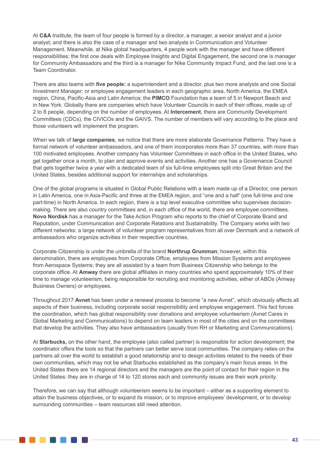At **C&A** Institute, the team of four people is formed by a director, a manager, a senior analyst and a junior analyst; and there is also the case of a manager and two analysts in Communication and Volunteer Management. Meanwhile, at Nike global headquarters, 4 people work with the manager and have different responsibilities: the first one deals with Employee Insights and Digital Engagement, the second one is manager for Community Ambassadors and the third is a manager for Nike Community Impact Fund, and the last one is a Team Coordinator.

There are also teams with **five people:** a superintendent and a director, plus two more analysts and one Social Investment Manager; or employee engagement leaders in each geographic area, North America, the EMEA region, China, Pacific-Asia and Latin America; the **PIMCO** Foundation has a team of 5 in Newport Beach and in New York. Globally there are companies which have Volunteer Councils in each of their offices, made up of 2 to 8 people, depending on the number of employees. At **Intercement**, there are Community Development Committees (CDCs), the CIVICOs and the GAIVS. The number of members will vary according to the place and those volunteers will implement the program.

When we talk of **large companies**, we notice that there are more elaborate Governance Patterns. They have a formal network of volunteer ambassadors, and one of them incorporates more than 37 countries, with more than 100 motivated employees. Another company has Volunteer Committees in each office in the United States, who get together once a month, to plan and approve events and activities. Another one has a Governance Council that gets together twice a year with a dedicated team of six full-time employees split into Great Britain and the United States, besides additional support for internships and scholarships.

One of the global programs is situated in Global Public Relations with a team made up of a Director, one person in Latin America, one in Asia-Pacific and three at the EMEA region, and "one and a half' (one full-time and one part-time) in North America. In each region, there is a top level executive committee who supervises decisionmaking. There are also country committees and, in each office of the world, there are employee committees. **Novo Nordisk** has a manager for the Take Action Program who reports to the chief of Corporate Brand and Reputation, under Communication and Corporate Relations and Sustainability. The Company works with two different networks: a large network of volunteer program representatives from all over Denmark and a network of ambassadors who organize activities in their respective countries.

Corporate Citizenship is under the umbrella of the brand **Northrup Grumman**; however, within this denomination, there are employees from Corporate Office, employees from Mission Systems and employees from Aerospace Systems; they are all assisted by a team from Business Citizenship who belongs to the corporate office. At **Amway** there are global affiliates in many countries who spend approximately 10% of their time to manage volunteerism, being responsible for recruiting and monitoring activities, either of ABOs (Amway Business Owners) or employees.

Throughout 2017 **Avnet** has been under a renewal process to become "a new Avnet", which obviously affects all aspects of their business, including corporate social responsibility and employee engagement. This fact forces the coordination, which has global responsibility over donations and employee volunteerism (Avnet Cares in Global Marketing and Communications) to depend on team leaders in most of the cities and on the committees that develop the activities. They also have ambassadors (usually from RH or Marketing and Communications).

At **Starbucks,** on the other hand, the employee (also called partner) is responsible for action development; the coordinator offers the tools so that the partners can better serve local communities. The company relies on the partners all over the world to establish a good relationship and to design activities related to the needs of their own communities, which may not be what Starbucks established as the company's main focus areas. In the United States there are 14 regional directors and the managers are the point of contact for their region in the United States: they are in charge of 14 to 120 stores each and community issues are their work priority.

Therefore, we can say that although volunteerism seems to be important – either as a supporting element to attain the business objectives, or to expand its mission, or to improve employees' development, or to develop surrounding communities – team resources still need attention.

. . . . . . .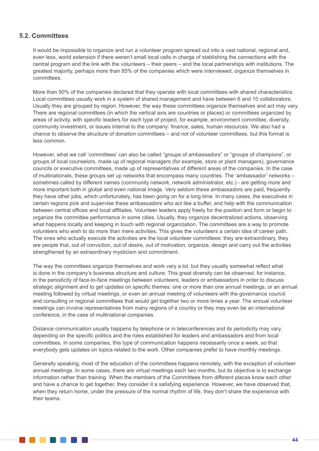# **5.2. Committees**

. . . . . . . .

It would be impossible to organize and run a volunteer program spread out into a vast national, regional and, even less, world extension if there weren't small local cells in charge of stablishing the connections with the central program and the link with the volunteers – their peers – and the local partnerships with institutions. The greatest majority, perhaps more than 85% of the companies which were interviewed, organize themselves in committees.

More than 50% of the companies declared that they operate with local committees with shared characteristics. Local committees usually work in a system of shared management and have between 6 and 10 collaborators. Usually they are grouped by region. However, the way these committees organize themselves and act may vary. There are regional committees (in which the vertical axis are countries or places) or committees organized by areas of activity, with specific leaders for each type of project, for example, environment committee, diversity, community investment, or issues internal to the company: finance, sales, human resources. We also had a chance to observe the structure of donation committees – and not of volunteer committees, but this format is less common.

However, what we call 'committees' can also be called "groups of ambassadors" or "groups of champions", or groups of local counselors, made up of regional managers (for example, store or plant managers), governance councils or executive committees, made up of representatives of different areas of the companies. In the case of multinationals, these groups set up networks that encompass many countries. The 'ambassador' networks – sometimes called by different names (community network, network administrator, etc.) - are getting more and more important both in global and even national image. Very seldom these ambassadors are paid, frequently they have other jobs, which unfortunately, has been going on for a long time. In many cases, the executives in certain regions pick and supervise these ambassadors who act like a buffer, and help with the communication between central offices and local affiliates. Volunteer leaders apply freely for the position and form or begin to organize the committee performance in some cities. Usually, they organize decentralized actions, observing what happens locally and keeping in touch with regional organization. The committees are a way to promote volunteers who wish to do more than mere activities. This gives the volunteers a certain idea of career path. The ones who actually execute the activities are the local volunteer committees: they are extraordinary, they are people that, out of conviction, out of desire, out of motivation, organize, design and carry out the activities strengthened by an extraordinary mysticism and commitment.

The way the committees organize themselves and work vary a lot, but they usually somewhat reflect what is done in the company's business structure and culture. This great diversity can be observed, for instance, in the periodicity of face-to-face meetings between volunteers, leaders or ambassadors in order to discuss strategic alignment and to get updates on specific themes: one or more than one annual meetings, or an annual meeting followed by virtual meetings, or even an annual meeting of volunteers with the governance council and consulting or regional committees that would get together two or more times a year. The annual volunteer meetings can involve representatives from many regions of a country or they may even be an international conference, in the case of multinational companies.

Distance communication usually happens by telephone or in teleconferences and its periodicity may vary, depending on the specific politics and the roles established for leaders and ambassadors and from local committees. In some companies, this type of communication happens necessarily once a week, so that everybody gets updates on topics related to the work. Other companies prefer to have monthly meetings.

Generally speaking, most of the education of the committees happens remotely, with the exception of volunteer annual meetings. In some cases, there are virtual meetings each two months, but its objective is to exchange information rather than training. When the members of the Committees from different places know each other and have a chance to get together, they consider it a satisfying experience. However, we have observed that, when they return home, under the pressure of the normal rhythm of life, they don't share the experience with their teams.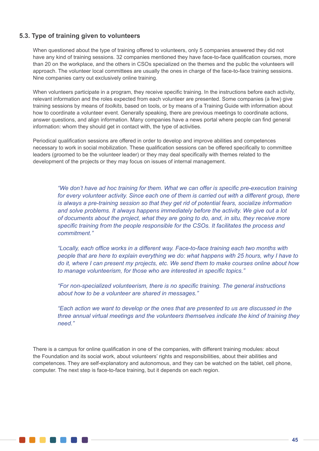# **5.3. Type of training given to volunteers**

When questioned about the type of training offered to volunteers, only 5 companies answered they did not have any kind of training sessions. 32 companies mentioned they have face-to-face qualification courses, more than 20 on the workplace, and the others in CSOs specialized on the themes and the public the volunteers will approach. The volunteer local committees are usually the ones in charge of the face-to-face training sessions. Nine companies carry out exclusively online training.

When volunteers participate in a program, they receive specific training. In the instructions before each activity, relevant information and the roles expected from each volunteer are presented. Some companies (a few) give training sessions by means of *toolkits*, based on tools, or by means of a Training Guide with information about how to coordinate a volunteer event. Generally speaking, there are previous meetings to coordinate actions, answer questions, and align information. Many companies have a news portal where people can find general information: whom they should get in contact with, the type of activities.

Periodical qualification sessions are offered in order to develop and improve abilities and competences necessary to work in social mobilization. These qualification sessions can be offered specifically to committee leaders (groomed to be the volunteer leader) or they may deal specifically with themes related to the development of the projects or they may focus on issues of internal management.

*"We don't have ad hoc training for them. What we can offer is specific pre-execution training*  for every volunteer activity. Since each one of them is carried out with a different group, there *is always a pre-training session so that they get rid of potential fears, socialize information and solve problems. It always happens immediately before the activity. We give out a lot of documents about the project, what they are going to do, and, in situ, they receive more specific training from the people responsible for the CSOs. It facilitates the process and commitment."*

*"Locally, each office works in a different way. Face-to-face training each two months with people that are here to explain everything we do: what happens with 25 hours, why I have to do it, where I can present my projects, etc. We send them to make courses online about how to manage volunteerism, for those who are interested in specific topics."*

*"For non-specialized volunteerism, there is no specific training. The general instructions about how to be a volunteer are shared in messages."*

*"Each action we want to develop or the ones that are presented to us are discussed in the three annual virtual meetings and the volunteers themselves indicate the kind of training they need."*

There is a campus for online qualification in one of the companies, with different training modules: about the Foundation and its social work, about volunteers' rights and responsibilities, about their abilities and competences. They are self-explanatory and autonomous, and they can be watched on the tablet, cell phone, computer. The next step is face-to-face training, but it depends on each region.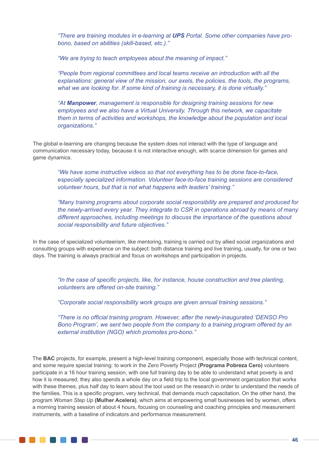*"There are training modules in e-learning at UPS Portal. Some other companies have probono, based on abilities (skill-based, etc.)."*

*"We are trying to teach employees about the meaning of impact."*

*"People from regional committees and local teams receive an introduction with all the explanations: general view of the mission, our axels, the policies, the tools, the programs, what we are looking for. If some kind of training is necessary, it is done virtually."*

*"At Manpower, management is responsible for designing training sessions for new employees and we also have a Virtual University. Through this network, we capacitate them in terms of activities and workshops, the knowledge about the population and local organizations."*

The global e-learning are changing because the system does not interact with the type of language and communication necessary today, because it is not interactive enough, with scarce dimension for games and game dynamics.

*"We have some instructive videos so that not everything has to be done face-to-face, especially specialized information. Volunteer face-to-face training sessions are considered volunteer hours, but that is not what happens with leaders' training."*

*"Many training programs about corporate social responsibility are prepared and produced for the newly-arrived every year. They integrate to CSR in operations abroad by means of many different approaches, including meetings to discuss the importance of the questions about social responsibility and future objectives."*

In the case of specialized volunteerism, like mentoring, training is carried out by allied social organizations and consulting groups with experience on the subject: both distance training and live training, usually, for one or two days. The training is always practical and focus on workshops and participation in projects.

*"In the case of specific projects, like, for instance, house construction and tree planting, volunteers are offered on-site training."*

*"Corporate social responsibility work groups are given annual training sessions."*

*"There is no official training program. However, after the newly-inaugurated 'DENSO Pro Bono Program', we sent two people from the company to a training program offered by an external institution (NGO) which promotes pro-bono."* 

The **BAC** projects, for example, present a high-level training component, especially those with technical content, and some require special training: to work in the Zero Poverty Project **(Programa Pobreza Cero)** volunteers participate in a 16 hour training session, with one full training day to be able to understand what poverty is and how it is measured; they also spends a whole day on a field trip to the local government organization that works with these themes, plus half day to learn about the tool used on the research in order to understand the needs of the families. This is a specific program, very technical, that demands much capacitation. On the other hand, the program *Woman Step Up* **(Mulher Acelera)**, which aims at empowering small businesses led by women, offers a morning training session of about 4 hours, focusing on counseling and coaching principles and measurement instruments, with a baseline of indicators and performance measurement.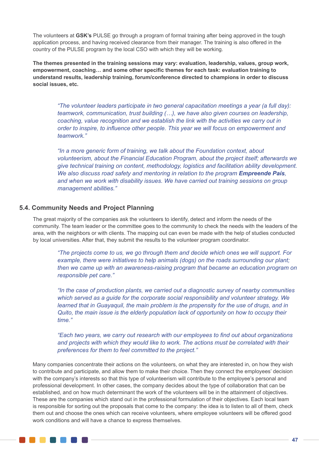The volunteers at **GSK's** PULSE go through a program of formal training after being approved in the tough application process, and having received clearance from their manager. The training is also offered in the country of the PULSE program by the local CSO with which they will be working.

**The themes presented in the training sessions may vary: evaluation, leadership, values, group work, empowerment, coaching… and some other specific themes for each task: evaluation training to understand results, leadership training, forum/conference directed to champions in order to discuss social issues, etc.**

*"The volunteer leaders participate in two general capacitation meetings a year (a full day): teamwork, communication, trust building (…), we have also given courses on leadership, coaching, value recognition and we establish the link with the activities we carry out in order to inspire, to influence other people. This year we will focus on empowerment and teamwork."*

*"In a more generic form of training, we talk about the Foundation context, about volunteerism, about the Financial Education Program, about the project itself; afterwards we give technical training on content, methodology, logistics and facilitation ability development. We also discuss road safety and mentoring in relation to the program <i>Empreende País*, *and when we work with disability issues. We have carried out training sessions on group management abilities."*

# **5.4. Community Needs and Project Planning**

The great majority of the companies ask the volunteers to identify, detect and inform the needs of the community. The team leader or the committee goes to the community to check the needs with the leaders of the area, with the neighbors or with clients. The mapping out can even be made with the help of studies conducted by local universities. After that, they submit the results to the volunteer program coordinator.

*"The projects come to us, we go through them and decide which ones we will support. For*  example, there were initiatives to help animals (dogs) on the roads surrounding our plant; *then we came up with an awareness-raising program that became an education program on responsible pet care."*

*"In the case of production plants, we carried out a diagnostic survey of nearby communities which served as a guide for the corporate social responsibility and volunteer strategy. We learned that in Guayaquil, the main problem is the propensity for the use of drugs, and in Quito, the main issue is the elderly population lack of opportunity on how to occupy their time."*

*"Each two years, we carry out research with our employees to find out about organizations and projects with which they would like to work. The actions must be correlated with their preferences for them to feel committed to the project."*

Many companies concentrate their actions on the volunteers, on what they are interested in, on how they wish to contribute and participate, and allow them to make their choice. Then they connect the employees' decision with the company's interests so that this type of volunteerism will contribute to the employee's personal and professional development. In other cases, the company decides about the type of collaboration that can be established, and on how much determinant the work of the volunteers will be in the attainment of objectives. These are the companies which stand out in the professional formulation of their objectives. Each local team is responsible for sorting out the proposals that come to the company: the idea is to listen to all of them, check them out and choose the ones which can receive volunteers, where employee volunteers will be offered good work conditions and will have a chance to express themselves.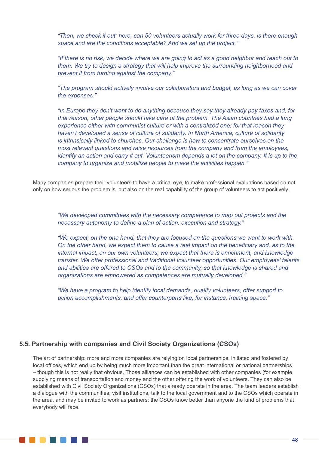*"Then, we check it out: here, can 50 volunteers actually work for three days, is there enough space and are the conditions acceptable? And we set up the project."*

*"If there is no risk, we decide where we are going to act as a good neighbor and reach out to them. We try to design a strategy that will help improve the surrounding neighborhood and prevent it from turning against the company."*

*"The program should actively involve our collaborators and budget, as long as we can cover the expenses."*

*"In Europe they don't want to do anything because they say they already pay taxes and, for that reason, other people should take care of the problem. The Asian countries had a long experience either with communist culture or with a centralized one; for that reason they haven't developed a sense of culture of solidarity. In North America, culture of solidarity is intrinsically linked to churches. Our challenge is how to concentrate ourselves on the most relevant questions and raise resources from the company and from the employees, identify an action and carry it out. Volunteerism depends a lot on the company. It is up to the company to organize and mobilize people to make the activities happen."*

Many companies prepare their volunteers to have a critical eye, to make professional evaluations based on not only on how serious the problem is, but also on the real capability of the group of volunteers to act positively.

*"We developed committees with the necessary competence to map out projects and the necessary autonomy to define a plan of action, execution and strategy."*

*"We expect, on the one hand, that they are focused on the questions we want to work with. On the other hand, we expect them to cause a real impact on the beneficiary and, as to the internal impact, on our own volunteers, we expect that there is enrichment, and knowledge transfer. We offer professional and traditional volunteer opportunities. Our employees' talents and abilities are offered to CSOs and to the community, so that knowledge is shared and organizations are empowered as competences are mutually developed."*

*"We have a program to help identify local demands, qualify volunteers, offer support to action accomplishments, and offer counterparts like, for instance, training space."*

# **5.5. Partnership with companies and Civil Society Organizations (CSOs)**

The art of partnership: more and more companies are relying on local partnerships, initiated and fostered by local offices, which end up by being much more important than the great international or national partnerships – though this is not really that obvious. Those alliances can be established with other companies (for example, supplying means of transportation and money and the other offering the work of volunteers. They can also be established with Civil Society Organizations (CSOs) that already operate in the area. The team leaders establish a dialogue with the communities, visit institutions, talk to the local government and to the CSOs which operate in the area, and may be invited to work as partners: the CSOs know better than anyone the kind of problems that everybody will face.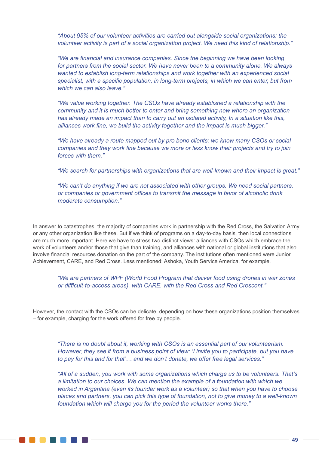*"About 95% of our volunteer activities are carried out alongside social organizations: the volunteer activity is part of a social organization project. We need this kind of relationship."*

*"We are financial and insurance companies. Since the beginning we have been looking for partners from the social sector. We have never been to a community alone. We always wanted to establish long-term relationships and work together with an experienced social specialist, with a specific population, in long-term projects, in which we can enter, but from which we can also leave."*

*"We value working together. The CSOs have already established a relationship with the community and it is much better to enter and bring something new where an organization has already made an impact than to carry out an isolated activity, In a situation like this, alliances work fine, we build the activity together and the impact is much bigger."*

*"We have already a route mapped out by pro bono clients: we know many CSOs or social companies and they work fine because we more or less know their projects and try to join forces with them."*

*"We search for partnerships with organizations that are well-known and their impact is great."*

*"We can't do anything if we are not associated with other groups. We need social partners, or companies or government offices to transmit the message in favor of alcoholic drink moderate consumption."*

In answer to catastrophes, the majority of companies work in partnership with the Red Cross, the Salvation Army or any other organization like these. But if we think of programs on a day-to-day basis, then local connections are much more important. Here we have to stress two distinct views: alliances with CSOs which embrace the work of volunteers and/or those that give than training, and alliances with national or global institutions that also involve financial resources donation on the part of the company. The institutions often mentioned were Junior Achievement, CARE, and Red Cross. Less mentioned: Ashoka, Youth Service America, for example.

*"We are partners of WPF (World Food Program that deliver food using drones in war zones or difficult-to-access areas), with CARE, with the Red Cross and Red Crescent."*

However, the contact with the CSOs can be delicate, depending on how these organizations position themselves – for example, charging for the work offered for free by people.

*"There is no doubt about it, working with CSOs is an essential part of our volunteerism. However, they see it from a business point of view: 'I invite you to participate, but you have to pay for this and for that'… and we don't donate, we offer free legal services."*

*"All of a sudden, you work with some organizations which charge us to be volunteers. That's a limitation to our choices. We can mention the example of a foundation with which we worked in Argentina (even its founder work as a volunteer) so that when you have to choose places and partners, you can pick this type of foundation, not to give money to a well-known foundation which will charge you for the period the volunteer works there."*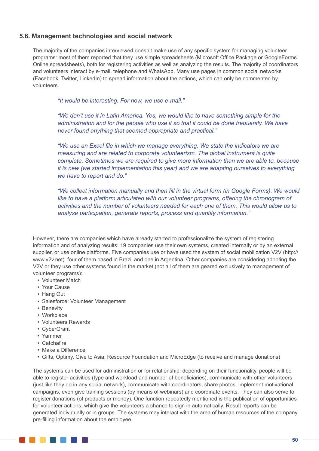# **5.6. Management technologies and social network**

The majority of the companies interviewed doesn't make use of any specific system for managing volunteer programs: most of them reported that they use simple spreadsheets (Microsoft Office Package or GoogleForms Online spreadsheets), both for registering activities as well as analyzing the results. The majority of coordinators and volunteers interact by e-mail, telephone and WhatsApp. Many use pages in common social networks (Facebook, Twitter, LinkedIn) to spread information about the actions, which can only be commented by volunteers.

*"It would be interesting. For now, we use e-mail."*

*"We don't use it in Latin America. Yes, we would like to have something simple for the administration and for the people who use it so that it could be done frequently. We have never found anything that seemed appropriate and practical."*

*"We use an Excel file in which we manage everything. We state the indicators we are measuring and are related to corporate volunteerism. The global instrument is quite complete. Sometimes we are required to give more information than we are able to, because it is new (we started implementation this year) and we are adapting ourselves to everything we have to report and do."*

*"We collect information manually and then fill in the virtual form (in Google Forms). We would*  like to have a platform articulated with our volunteer programs, offering the chronogram of *activities and the number of volunteers needed for each one of them. This would allow us to analyse participation, generate reports, process and quantify information."*

However, there are companies which have already started to professionalize the system of registering information and of analyzing results: 19 companies use their own systems, created internally or by an external supplier, or use online platforms. Five companies use or have used the system of social mobilization V2V (http:// www.v2v.net): four of them based in Brazil and one in Argentina. Other companies are considering adopting the V2V or they use other systems found in the market (not all of them are geared exclusively to management of volunteer programs):

- Volunteer Match
- Your Cause
- Hang Out
- Salesforce: Volunteer Management
- Benevity
- Workplace
- Volunteers Rewards
- CyberGrant
- Yammer
- Catchafire
- Make a Difference
- Gifts, Optimy, Give to Asia, Resource Foundation and MicroEdge (to receive and manage donations)

The systems can be used for administration or for relationship: depending on their functionality, people will be able to register activities (type and workload and number of beneficiaries), communicate with other volunteers (just like they do in any social network), communicate with coordinators, share photos, implement motivational campaigns, even give training sessions (by means of webinars) and coordinate events. They can also serve to register donations (of products or money). One function repeatedly mentioned is the publication of opportunities for volunteer actions, which give the volunteers a chance to sign in automatically. Result reports can be generated individually or in groups. The systems may interact with the area of human resources of the company, pre-filling information about the employee.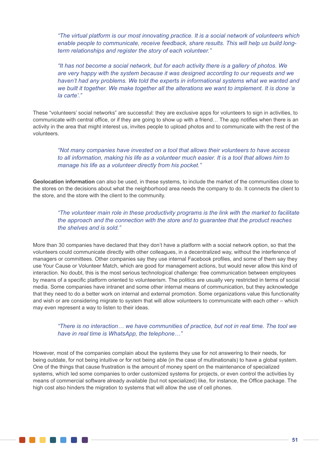*"The virtual platform is our most innovating practice. It is a social network of volunteers which enable people to communicate, receive feedback, share results. This will help us build longterm relationships and register the story of each volunteer."*

*"It has not become a social network, but for each activity there is a gallery of photos. We are very happy with the system because it was designed according to our requests and we haven't had any problems. We told the experts in informational systems what we wanted and we built it together. We make together all the alterations we want to implement. It is done 'a la carte'."*

These "volunteers' social networks" are successful: they are exclusive apps for volunteers to sign in activities, to communicate with central office, or if they are going to show up with a friend… The app notifies when there is an activity in the area that might interest us, invites people to upload photos and to communicate with the rest of the volunteers.

*"Not many companies have invested on a tool that allows their volunteers to have access to all information, making his life as a volunteer much easier. It is a tool that allows him to manage his life as a volunteer directly from his pocket."*

**Geolocation information** can also be used, in these systems, to include the market of the communities close to the stores on the decisions about what the neighborhood area needs the company to do. It connects the client to the store, and the store with the client to the community.

*"The volunteer main role in these productivity programs is the link with the market to facilitate the approach and the connection with the store and to guarantee that the product reaches the shelves and is sold."*

More than 30 companies have declared that they don't have a platform with a social network option, so that the volunteers could communicate directly with other colleagues, in a decentralized way, without the interference of managers or committees. Other companies say they use internal Facebook profiles, and some of them say they use Your Cause or Volunteer Match, which are good for management actions, but would never allow this kind of interaction. No doubt, this is the most serious technological challenge: free communication between employees by means of a specific platform oriented to volunteerism. The politics are usually very restricted in terms of social media. Some companies have intranet and some other internal means of communication, but they acknowledge that they need to do a better work on internal and external promotion. Some organizations value this functionality and wish or are considering migrate to system that will allow volunteers to communicate with each other – which may even represent a way to listen to their ideas.

## *"There is no interaction… we have communities of practice, but not in real time. The tool we have in real time is WhatsApp, the telephone…"*

However, most of the companies complain about the systems they use for not answering to their needs, for being outdate, for not being intuitive or for not being able (in the case of multinationals) to have a global system. One of the things that cause frustration is the amount of money spent on the maintenance of specialized systems, which led some companies to order customized systems for projects, or even control the activities by means of commercial software already available (but not specialized) like, for instance, the Office package. The high cost also hinders the migration to systems that will allow the use of cell phones.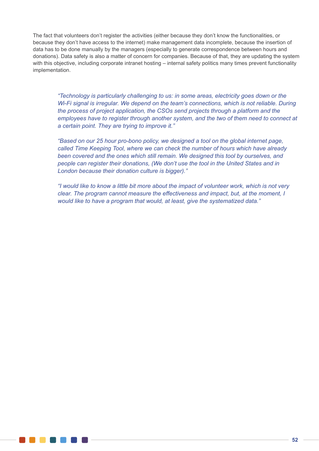The fact that volunteers don't register the activities (either because they don't know the functionalities, or because they don't have access to the internet) make management data incomplete, because the insertion of data has to be done manually by the managers (especially to generate correspondence between hours and donations). Data safety is also a matter of concern for companies. Because of that, they are updating the system with this objective, including corporate intranet hosting – internal safety politics many times prevent functionality implementation.

*"Technology is particularly challenging to us: in some areas, electricity goes down or the Wi-Fi signal is irregular. We depend on the team's connections, which is not reliable. During the process of project application, the CSOs send projects through a platform and the employees have to register through another system, and the two of them need to connect at a certain point. They are trying to improve it."*

*"Based on our 25 hour pro-bono policy, we designed a tool on the global internet page, called Time Keeping Tool, where we can check the number of hours which have already been covered and the ones which still remain. We designed this tool by ourselves, and people can register their donations, (We don't use the tool in the United States and in London because their donation culture is bigger)."*

*"I would like to know a little bit more about the impact of volunteer work, which is not very clear. The program cannot measure the effectiveness and impact, but, at the moment, I would like to have a program that would, at least, give the systematized data."*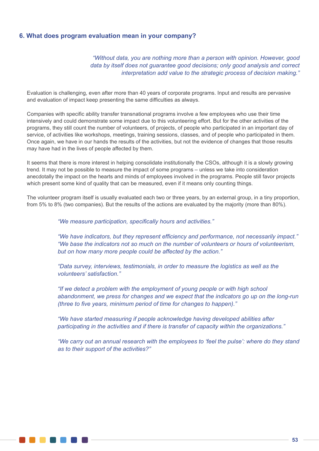### **6. What does program evaluation mean in your company?**

*"Without data, you are nothing more than a person with opinion. However, good data by itself does not guarantee good decisions; only good analysis and correct interpretation add value to the strategic process of decision making."*

Evaluation is challenging, even after more than 40 years of corporate programs. Input and results are pervasive and evaluation of impact keep presenting the same difficulties as always.

Companies with specific ability transfer transnational programs involve a few employees who use their time intensively and could demonstrate some impact due to this volunteering effort. But for the other activities of the programs, they still count the number of volunteers, of projects, of people who participated in an important day of service, of activities like workshops, meetings, training sessions, classes, and of people who participated in them. Once again, we have in our hands the results of the activities, but not the evidence of changes that those results may have had in the lives of people affected by them.

It seems that there is more interest in helping consolidate institutionally the CSOs, although it is a slowly growing trend. It may not be possible to measure the impact of some programs – unless we take into consideration anecdotally the impact on the hearts and minds of employees involved in the programs. People still favor projects which present some kind of quality that can be measured, even if it means only counting things.

The volunteer program itself is usually evaluated each two or three years, by an external group, in a tiny proportion, from 5% to 8% (two companies). But the results of the actions are evaluated by the majority (more than 80%).

*"We measure participation, specifically hours and activities."*

*"We have indicators, but they represent efficiency and performance, not necessarily impact." "We base the indicators not so much on the number of volunteers or hours of volunteerism, but on how many more people could be affected by the action."*

*"Data survey, interviews, testimonials, in order to measure the logistics as well as the volunteers' satisfaction."*

*"If we detect a problem with the employment of young people or with high school abandonment, we press for changes and we expect that the indicators go up on the long-run (three to five years, minimum period of time for changes to happen)."*

*"We have started measuring if people acknowledge having developed abilities after participating in the activities and if there is transfer of capacity within the organizations."*

*"We carry out an annual research with the employees to 'feel the pulse': where do they stand as to their support of the activities?"*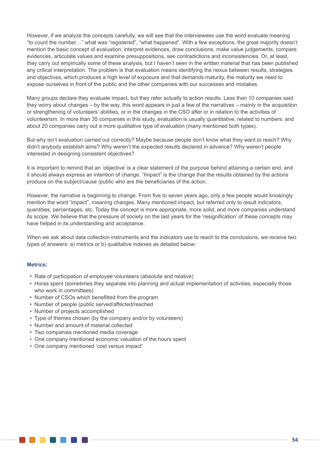However, if we analyze the concepts carefully, we will see that the interviewees use the word evaluate meaning "to count the number…" what was "registered", "what happened". With a few exceptions, the great majority doesn't mention the basic concept of evaluation: interpret evidences, draw conclusions, make value judgements, compare evidences, articulate values and examine presuppositions, see contradictions and inconsistencies. Or, at least, they carry out empirically some of these analysis, but I haven't seen in the written material that has been published any critical interpretation. The problem is that evaluation means identifying the nexus between results, strategies and objectives, which produces a high level of exposure and that demands maturity, the maturity we need to expose ourselves in front of the public and the other companies with our successes and mistakes.

Many groups declare they evaluate impact, but they refer actually to action results. Less than 10 companies said they worry about changes – by the way, this word appears in just a few of the narratives – mainly in the acquisition or strengthening of volunteers' abilities, or in the changes in the CSO after or in relation to the activities of volunteerism. In more than 35 companies in this study, evaluation is usually quantitative, related to numbers: and about 20 companies carry out a more qualitative type of evaluation (many mentioned both types).

But why isn't evaluation carried out correctly? Maybe because people don't know what they want to reach? Why didn't anybody establish aims? Why weren't the expected results declared in advance? Why weren't people interested in designing consistent objectives?

It is important to remind that an 'objective' is a clear statement of the purpose behind attaining a certain end, and it should always express an intention of change. "Impact" is the change that the results obtained by the actions produce on the subject/cause /public who are the beneficiaries of the action.

However, the narrative is beginning to change. From five to seven years ago, only a few people would knowingly mention the word "impact", meaning changes. Many mentioned impact, but referred only to result indicators, quantities, percentages, etc. Today the concept is more appropriate, more solid, and more companies understand its scope. We believe that the pressure of society on the last years for the 'resignification' of these concepts may have helped in its understanding and acceptance.

When we ask about data collection instruments and the indicators use to reach to the conclusions, we receive two types of answers: a) metrics or b) qualitative indexes as detailed below:

#### **Metrics:**

. . . .

- Rate of participation of employee volunteers (absolute and relative)
- Horas spent (sometimes they separate into planning and actual implementation of activities, especially those who work in committees)
- Number of CSOs which benefitted from the program
- Number of people (public served/affected/reached
- Number of projects accomplished
- Type of themes chosen (by the company and/or by volunteers)
- Number and amount of material collected
- Two companies mentioned media coverage
- One company mentioned economic valuation of the hours spent
- One company mentioned 'cost versus impact"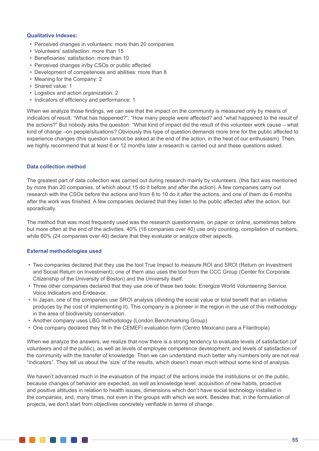#### **Qualitative Indexes:**

- Perceived changes in volunteers: more than 20 companies
- Volunteers' satisfaction: more than 15
- Beneficiaries' satisfaction: more than 10
- Perceived changes in/by CSOs or public affected
- Development of competences and abilities: more than 8
- Meaning for the Company: 2
- Shared value: 1
- Logistics and action organization: 2
- Indicators of efficiency and performance: 1

When we analyze those findings, we can see that the impact on the community is measured only by means of indicators of result. "What has happened?", "How many people were affected? and "what happened to the result of the actions?" But nobody asks the question: "What kind of impact did the result of this volunteer work cause – what kind of change –on people/situations? Obviously this type of question demands more time for the public affected to experience changes (this question cannot be asked at the end of the action, in the heat of our enthusiasm). Then, we highly recommend that at least 6 or 12 months later a research is carried out and these questions asked.

#### **Data collection method**

The greatest part of data collection was carried out during research mainly by volunteers. (this fact was mentioned by more than 20 companies, of which about 15 do it before and after the action). A few companies carry out research with the CSOs before the actions and from 8 to 10 do it after the actions, and one of them do 6 months after the work was finished. A few companies declared that they listen to the public affected after the action, but sporadically.

The method that was most frequently used was the research questionnaire, on paper or online, sometimes before but more often at the end of the activities. 40% (16 companies over 40) use only counting, compilation of numbers, while 60% (24 companies over 40) declare that they evaluate or analyze other aspects.

#### **External methodologies used**

. . . . . . . .

- Two companies declared that they use the tool True Impact to measure ROI and SROI (Return on Investment and Social Return on Investment); one of them also uses the tool from the CCC Group (Center for Corporate Citizenship of the University of Boston) and the University itself.
- Three other companies declared that they use one of these two tools: Energize World Volunteering Service, Voice Indicators and Endeavor.
- In Japan, one of the companies use SROI analysis (dividing the social value or total benefit that an initiative produces by the cost of implementing it). This company is a pioneer in the region in the use of this methodology in the area of biodiversity conservation.
- Another company uses LBG methodology (London Benchmarking Group)
- One company declared they fill in the CEMEFI evaluation form (Centro Mexicano para a Filantropia)

When we analyze the answers, we realize that now there is a strong tendency to evaluate levels of satisfaction (of volunteers and of the public), as well as levels of employee competence development, and levels of satisfaction of the community with the transfer of knowledge. Then we can understand much better why numbers only are not real "indicators". They tell us about the 'size' of the results, which doesn't mean much without some kind of analysis.

We haven't advanced much in the evaluation of the impact of the actions inside the institutions or on the public, because changes of behavior are expected, as well as knowledge level, acquisition of new habits, proactive and positive attitudes in relation to health issues, dimensions which don't have social technology installed in the companies, and, many times, not even in the groups with which we work. Besides that, in the formulation of projects, we don't start from objectives concretely verifiable in terms of change.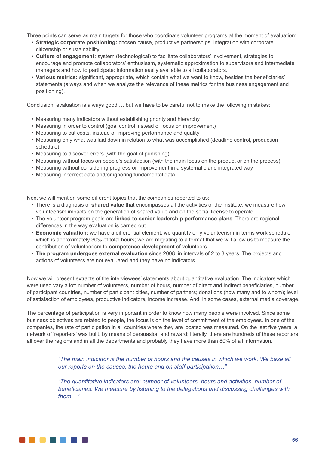Three points can serve as main targets for those who coordinate volunteer programs at the moment of evaluation:

- **Strategic corporate positioning:** chosen cause, productive partnerships, integration with corporate citizenship or sustainability.
- **Culture of engagement:** system (technological) to facilitate collaborators' involvement, strategies to encourage and promote collaborators' enthusiasm, systematic approximation to supervisors and intermediate managers and how to participate: information easily available to all collaborators.
- **Various metrics:** significant, appropriate, which contain what we want to know, besides the beneficiaries' statements (always and when we analyze the relevance of these metrics for the business engagement and positioning).

Conclusion: evaluation is always good … but we have to be careful not to make the following mistakes:

- Measuring many indicators without establishing priority and hierarchy
- Measuring in order to control (goal control instead of focus on improvement)
- Measuring to cut costs, instead of improving performance and quality
- Measuring only what was laid down in relation to what was accomplished (deadline control, production schedule)
- Measuring to discover errors (with the goal of punishing)
- Measuring without focus on people's satisfaction (with the main focus on the product or on the process)
- Measuring without considering progress or improvement in a systematic and integrated way
- Measuring incorrect data and/or ignoring fundamental data

Next we will mention some different topics that the companies reported to us:

- There is a diagnosis of **shared value** that encompasses all the activities of the Institute; we measure how volunteerism impacts on the generation of shared value and on the social license to operate.
- The volunteer program goals are **linked to senior leadership performance plans**. There are regional differences in the way evaluation is carried out.
- **Economic valuation:** we have a differential element: we quantify only volunteerism in terms work schedule which is approximately 30% of total hours; we are migrating to a format that we will allow us to measure the contribution of volunteerism to **competence development** of volunteers.
- **The program undergoes external evaluation** since 2008, in intervals of 2 to 3 years. The projects and actions of volunteers are not evaluated and they have no indicators.

Now we will present extracts of the interviewees' statements about quantitative evaluation. The indicators which were used vary a lot: number of volunteers, number of hours, number of direct and indirect beneficiaries, number of participant countries, number of participant cities, number of partners; donations (how many and to whom); level of satisfaction of employees, productive indicators, income increase. And, in some cases, external media coverage.

The percentage of participation is very important in order to know how many people were involved. Since some business objectives are related to people, the focus is on the level of commitment of the employees. In one of the companies, the rate of participation in all countries where they are located was measured. On the last five years, a network of 'reporters' was built, by means of persuasion and reward; literally, there are hundreds of these reporters all over the regions and in all the departments and probably they have more than 80% of all information.

> *"The main indicator is the number of hours and the causes in which we work. We base all our reports on the causes, the hours and on staff participation…"*

> *"The quantitative indicators are: number of volunteers, hours and activities, number of beneficiaries. We measure by listening to the delegations and discussing challenges with them…"*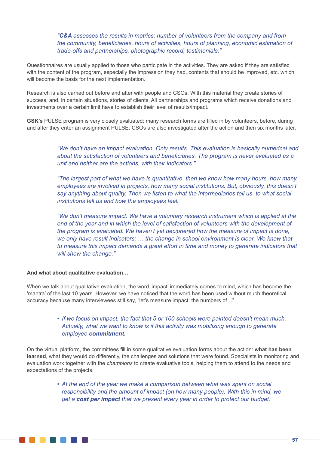*"C&A assesses the results in metrics: number of volunteers from the company and from the community, beneficiaries, hours of activities, hours of planning, economic estimation of trade-offs and partnerships, photographic record, testimonials."*

Questionnaires are usually applied to those who participate in the activities. They are asked if they are satisfied with the content of the program, especially the impression they had, contents that should be improved, etc. which will become the basis for the next implementation.

Research is also carried out before and after with people and CSOs. With this material they create stories of success, and, in certain situations, stories of clients. All partnerships and programs which receive donations and investments over a certain limit have to establish their level of results/impact.

**GSK's** PULSE program is very closely evaluated: many research forms are filled in by volunteers, before, during and after they enter an assignment PULSE. CSOs are also investigated after the action and then six months later.

> *"We don't have an impact evaluation. Only results. This evaluation is basically numerical and about the satisfaction of volunteers and beneficiaries. The program is never evaluated as a unit and neither are the actions, with their indicators."*

> *"The largest part of what we have is quantitative, then we know how many hours, how many employees are involved in projects, how many social institutions. But, obviously, this doesn't say anything about quality. Then we listen to what the intermediaries tell us, to what social institutions tell us and how the employees feel."*

> *"We don't measure impact. We have a voluntary research instrument which is applied at the*  end of the year and in which the level of satisfaction of volunteers with the development of *the program is evaluated. We haven't yet deciphered how the measure of impact is done, we only have result indicators; … the change in school environment is clear. We know that to measure this impact demands a great effort in time and money to generate indicators that will show the change."*

#### **And what about qualitative evaluation…**

When we talk about qualitative evaluation, the word 'impact' immediately comes to mind, which has become the 'mantra' of the last 10 years. However, we have noticed that the word has been used without much theoretical accuracy because many interviewees still say, "let's measure impact: the numbers of…"

# *• If we focus on impact, the fact that 5 or 100 schools were painted doesn't mean much. Actually, what we want to know is if this activity was mobilizing enough to generate employee commitment.*

On the virtual platform, the committees fill in some qualitative evaluation forms about the action: **what has been learned**, what they would do differently, the challenges and solutions that were found. Specialists in monitoring and evaluation work together with the *champions* to create evaluative tools, helping them to attend to the needs and expectations of the projects.

> *• At the end of the year we make a comparison between what was spent on social responsibility and the amount of impact (on how many people). With this in mind, we get a cost per impact that we present every year in order to protect our budget.*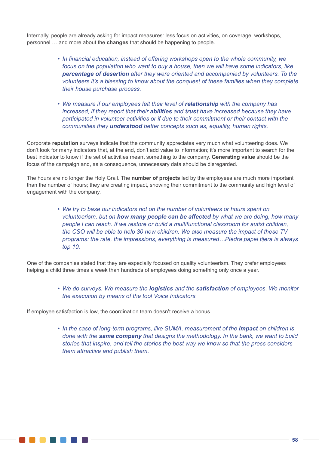Internally, people are already asking for impact measures: less focus on activities, on coverage, workshops, personnel … and more about the **changes** that should be happening to people.

- *• In financial education, instead of offering workshops open to the whole community, we focus on the population who want to buy a house, then we will have some indicators, like percentage of desertion after they were oriented and accompanied by volunteers. To the volunteers it's a blessing to know about the conquest of these families when they complete their house purchase process.*
- *• We measure if our employees felt their level of relationship with the company has increased, if they report that their abilities and trust have increased because they have participated in volunteer activities or if due to their commitment or their contact with the communities they understood better concepts such as, equality, human rights.*

Corporate **reputation** surveys indicate that the community appreciates very much what volunteering does. We don't look for many indicators that, at the end, don't add value to information; it's more important to search for the best indicator to know if the set of activities meant something to the company. **Generating value** should be the focus of the campaign and, as a consequence, unnecessary data should be disregarded.

The hours are no longer the Holy Grail. The **number of projects** led by the employees are much more important than the number of hours; they are creating impact, showing their commitment to the community and high level of engagement with the company.

> *• We try to base our indicators not on the number of volunteers or hours spent on volunteerism, but on how many people can be affected by what we are doing, how many people I can reach. If we restore or build a multifunctional classroom for autist children, the CSO will be able to help 30 new children. We also measure the impact of these TV programs: the rate, the impressions, everything is measured…Piedra papel tijera is always top 10.*

One of the companies stated that they are especially focused on quality volunteerism. They prefer employees helping a child three times a week than hundreds of employees doing something only once a year.

> *• We do surveys. We measure the logistics and the satisfaction of employees. We monitor the execution by means of the tool Voice Indicators.*

If employee satisfaction is low, the coordination team doesn't receive a bonus.

• In the case of long-term programs, like SUMA, measurement of the *impact* on children is *done with the same company that designs the methodology. In the bank, we want to build stories that inspire, and tell the stories the best way we know so that the press considers them attractive and publish them.*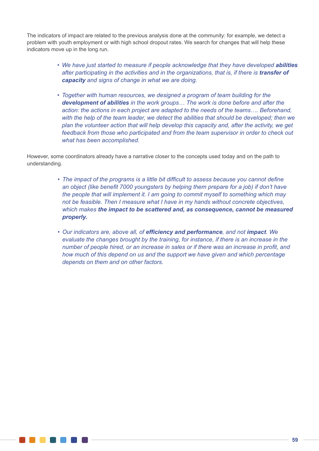The indicators of impact are related to the previous analysis done at the community: for example, we detect a problem with youth employment or with high school dropout rates. We search for changes that will help these indicators move up in the long run.

- We have just started to measure if people acknowledge that they have developed *abilities after participating in the activities and in the organizations, that is, if there is <i>transfer of capacity and signs of change in what we are doing.*
- *• Together with human resources, we designed a program of team building for the development of abilities in the work groups… The work is done before and after the action: the actions in each project are adapted to the needs of the teams…. Beforehand, with the help of the team leader, we detect the abilities that should be developed; then we plan the volunteer action that will help develop this capacity and, after the activity, we get feedback from those who participated and from the team supervisor in order to check out what has been accomplished.*

However, some coordinators already have a narrative closer to the concepts used today and on the path to understanding.

- *• The impact of the programs is a little bit difficult to assess because you cannot define an object (like benefit 7000 youngsters by helping them prepare for a job) if don't have the people that will implement it. I am going to commit myself to something which may not be feasible. Then I measure what I have in my hands without concrete objectives, which makes the impact to be scattered and, as consequence, cannot be measured properly.*
- *• Our indicators are, above all, of efficiency and performance, and not impact. We evaluate the changes brought by the training, for instance, if there is an increase in the number of people hired, or an increase in sales or if there was an increase in profit, and how much of this depend on us and the support we have given and which percentage depends on them and on other factors.*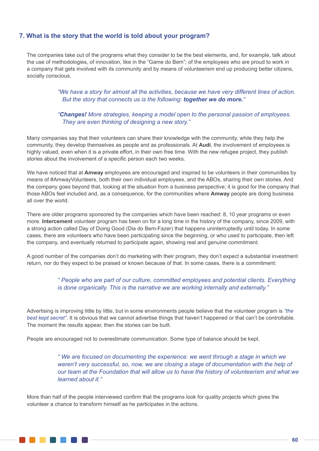# **7. What is the story that the world is told about your program?**

The companies take out of the programs what they consider to be the best elements, and, for example, talk about the use of methodologies, of innovation, like in the "Game do Bem"; of the employees who are proud to work in a company that gets involved with its community and by means of volunteerism end up producing better citizens, socially conscious.

### *"We have a story for almost all the activities, because we have very different lines of action. But the story that connects us is the following: together we do more."*

# *"Changes! More strategies, keeping a model open to the personal passion of employees. They are even thinking of designing a new story."*

Many companies say that their volunteers can share their knowledge with the community, while they help the community, they develop themselves as people and as professionals. At **Audi**, the involvement of employees is highly valued, even when it is a private effort, in their own free time. With the new refugee project, they publish stories about the involvement of a specific person each two weeks.

We have noticed that at **Amway** employees are encouraged and inspired to be volunteers in their communities by means of #AmwayVolunteers, both their own individual employees, and the ABOs, sharing their own stories. And the company goes beyond that, looking at the situation from a business perspective; it is good for the company that those ABOs feel included and, as a consequence, for the communities where **Amway** people are doing business all over the world.

There are older programs sponsored by the companies which have been reached: 8, 10 year programs or even more. **Intercement** volunteer program has been on for a long time in the history of the company, since 2009, with a strong action called Day of Doing Good (Dia do Bem-Fazer) that happens uninterruptedly until today. In some cases, there are volunteers who have been participating since the beginning, or who used to participate, then left the company, and eventually returned to participate again, showing real and genuine commitment.

A good number of the companies don't do marketing with their program, they don't expect a substantial investment return, nor do they expect to be praised or known because of that. In some cases, there is a commitment:

### *" People who are part of our culture, committed employees and potential clients. Everything is done organically. This is the narrative we are working internally and externally."*

Advertising is improving little by little, but in some environments people believe that the volunteer program is *"the best kept secret"*. It is obvious that we cannot advertise things that haven't happened or that can't be controllable. The moment the results appear, then the stories can be built.

People are encouraged not to overestimate communication. Some type of balance should be kept.

*" We are focused on documenting the experience: we went through a stage in which we weren't very successful, so, now, we are closing a stage of documentation with the help of our team at the Foundation that will allow us to have the history of volunteerism and what we learned about it."*

More than half of the people interviewed confirm that the programs look for quality projects which gives the volunteer a chance to transform himself as he participates in the actions.

N A A A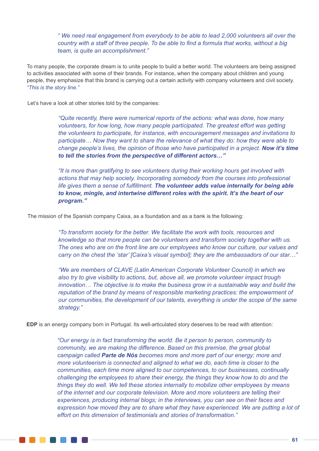*" We need real engagement from everybody to be able to lead 2,000 volunteers all over the country with a staff of three people. To be able to find a formula that works, without a big team, is quite an accomplishment."*

To many people, the corporate dream is to unite people to build a better world. The volunteers are being assigned to activities associated with some of their brands. For instance, when the company about children and young people, they emphasize that this brand is carrying out a certain activity with company volunteers and civil society. *"This is the story line."*

Let's have a look at other stories told by the companies:

*"Quite recently, there were numerical reports of the actions: what was done, how many volunteers, for how long, how many people participated. The greatest effort was getting the volunteers to participate, for instance, with encouragement messages and invitations to participate… Now they want to share the relevance of what they do: how they were able to change people's lives, the opinion of those who have participated in a project. Now it's time to tell the stories from the perspective of different actors…"*

*"It is more than gratifying to see volunteers during their working hours get involved with actions that may help society. Incorporating somebody from the courses into professional life gives them a sense of fulfillment. The volunteer adds value internally for being able to know, mingle, and intertwine different roles with the spirit. It's the heart of our program."*

The mission of the Spanish company Caixa, as a foundation and as a bank is the following:

*"To transform society for the better. We facilitate the work with tools, resources and knowledge so that more people can be volunteers and transform society together with us. The ones who are on the front line are our employees who know our culture, our values and carry on the chest the 'star' [Caixa's visual symbol]; they are the ambassadors of our star…"*

*"We are members of CLAVE (Latin American Corporate Volunteer Council) in which we also try to give visibility to actions, but, above all, we promote volunteer impact trough innovation… The objective is to make the business grow in a sustainable way and build the reputation of the brand by means of responsible marketing practices: the empowerment of our communities, the development of our talents, everything is under the scope of the same strategy."*

**EDP** is an energy company born in Portugal. Its well-articulated story deserves to be read with attention:

*"Our energy is in fact transforming the world. Be it person to person, community to community, we are making the difference. Based on this premise, the great global campaign called Parte de Nós becomes more and more part of our energy; more and more volunteerism is connected and aligned to what we do, each time is closer to the communities, each time more aligned to our competences, to our businesses, continually challenging the employees to share their energy, the things they know how to do and the things they do well. We tell these stories internally to mobilize other employees by means of the internet and our corporate television. More and more volunteers are telling their experiences, producing internal blogs; in the interviews, you can see on their faces and*  expression how moved they are to share what they have experienced. We are putting a lot of *effort on this dimension of testimonials and stories of transformation."*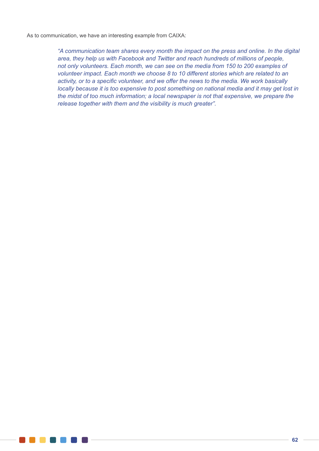As to communication, we have an interesting example from CAIXA:

*"A communication team shares every month the impact on the press and online. In the digital area, they help us with Facebook and Twitter and reach hundreds of millions of people, not only volunteers. Each month, we can see on the media from 150 to 200 examples of volunteer impact. Each month we choose 8 to 10 different stories which are related to an activity, or to a specific volunteer, and we offer the news to the media. We work basically locally because it is too expensive to post something on national media and it may get lost in the midst of too much information; a local newspaper is not that expensive, we prepare the release together with them and the visibility is much greater".*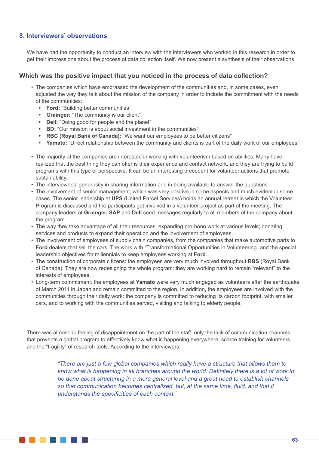# **8. Interviewers' observations**

. . . . . . .

We have had the opportunity to conduct an interview with the interviewers who worked in this research in order to get their impressions about the process of data collection itself. We now present a synthesis of their observations.

### **Which was the positive impact that you noticed in the process of data collection?**

- The companies which have embrassed the development of the communities and, in some cases, even adjusted the way they talk about the mission of the company in order to include the commitment with the needs of the communities:
	- **• Ford:** "Building better communities'
	- **• Grainger:** "The community is our client"
	- **• Dell:** "Doing good for people and the planet"
	- **• BD:** "Our mission is about social investment in the communities"
	- **• RBC (Royal Bank of Canada):** "We want our employees to be better citizens"
	- **• Yamato:** "Direct relationship between the community and clients is part of the daily work of our employees"
- The majority of the companies are interested in working with volunteerism based on abilities. Many have realized that the best thing they can offer is their experience and contact network, and they are trying to build programs with this type of perspective. It can be an interesting precedent for volunteer actions that promote sustainability.
- The interviewees' generosity in sharing information and in being available to answer the questions.
- The involvement of senior management, which was very positive in some aspects and much evident in some cases. The senior leadership at **UPS** (United Parcel Services) holds an annual retreat in which the Volunteer Program is discussed and the participants get involved in a volunteer project as part of the meeting. The company leaders at **Grainger, SAP** and **Dell** send messages regularly to all members of the company about the program.
- The way they take advantage of all their resources, expanding pro-bono work at various levels; donating services and products to expand their operation and the involvement of employees.
- The involvement of employees of supply chain companies, from the companies that make automotive parts to **Ford** dealers that sell the cars. The work with "Transformational Opportunities in Volunteering" and the special leadership objectives for millennials to keep employees working at **Ford**.
- The construction of corporate citizens: the employees are very much involved throughout **RBS** (Royal Bank of Canada). They are now redesigning the whole program: they are working hard to remain "relevant" to the interests of employees.
- Long-term commitment: the employees at **Yamato** were very much engaged as volunteers after the earthquake of March 2011 in Japan and remain committed to the region. In addition, the employees are involved with the communities through their daily work: the company is committed to reducing its carbon footprint, with smaller cars, and to working with the communities served, visiting and talking to elderly people.

There was almost no feeling of disappointment on the part of the staff: only the lack of communication channels that prevents a global program to effectively know what is happening everywhere, scarce training for volunteers, and the "fragility" of research tools. According to the interviewers:

> *"There are just a few global companies which really have a structure that allows them to know what is happening in all branches around the world. Definitely there is a lot of work to be done about structuring in a more general level and a great need to establish channels so that communication becomes centralized, but, at the same time, fluid, and that it understands the specificities of each context."*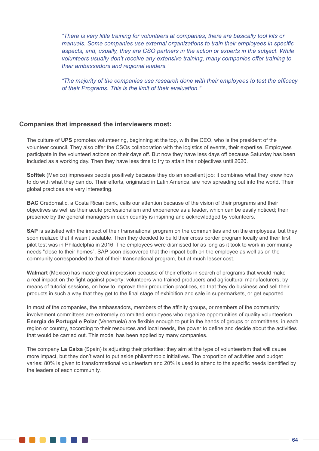*"There is very little training for volunteers at companies; there are basically tool kits or manuals. Some companies use external organizations to train their employees in specific aspects, and, usually, they are CSO partners in the action or experts in the subject. While volunteers usually don't receive any extensive training, many companies offer training to their ambassadors and regional leaders."*

*"The majority of the companies use research done with their employees to test the efficacy of their Programs. This is the limit of their evaluation."* 

### **Companies that impressed the interviewers most:**

**TAN DE LA PERSONA DE LA PERSONA DE LA PERSONA DE LA PERSONA DE LA PERSONA DE LA PERSONA DE LA PERSONA DE LA P** 

The culture of **UPS** promotes volunteering, beginning at the top, with the CEO, who is the president of the volunteer council. They also offer the CSOs collaboration with the logistics of events, their expertise. Employees participate in the volunteeri actions on their days off. But now they have less days off because Saturday has been included as a working day. Then they have less time to try to attain their objectives until 2020.

**Softtek** (Mexico) impresses people positively because they do an excellent job: it combines what they know how to do with what they can do. Their efforts, originated in Latin America, are now spreading out into the world. Their global practices are very interesting.

**BAC** Credomatic, a Costa Rican bank, calls our attention because of the vision of their programs and their objectives as well as their acute professionalism and experience as a leader, which can be easily noticed; their presence by the general managers in each country is inspiring and acknowledged by volunteers.

**SAP** is satisfied with the impact of their transnational program on the communities and on the employees, but they soon realized that it wasn't scalable. Then they decided to build their cross border program locally and their first pilot test was in Philadelphia in 2016. The employees were dismissed for as long as it took to work in community needs "close to their homes". SAP soon discovered that the impact both on the employee as well as on the community corresponded to that of their transnational program, but at much lesser cost.

**Walmart** (Mexico) has made great impression because of their efforts in search of programs that would make a real impact on the fight against poverty: volunteers who trained producers and agricultural manufacturers, by means of tutorial sessions, on how to improve their production practices, so that they do business and sell their products in such a way that they get to the final stage of exhibition and sale in supermarkets, or get exported.

In most of the companies, the ambassadors, members of the affinity groups, or members of the community involvement committees are extremely committed employees who organize opportunities of quality volunteerism. **Energia de Portugal** e **Polar** (Venezuela) are flexible enough to put in the hands of groups or committees, in each region or country, according to their resources and local needs, the power to define and decide about the activities that would be carried out. This model has been applied by many companies.

The company **La Caixa** (Spain) is adjusting their priorities: they aim at the type of volunteerism that will cause more impact, but they don't want to put aside philanthropic initiatives. The proportion of activities and budget varies: 80% is given to transformational volunteerism and 20% is used to attend to the specific needs identified by the leaders of each community.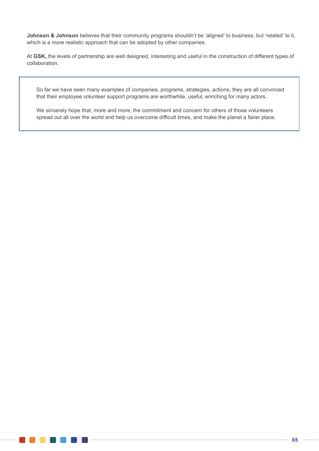**Johnson & Johnson** believes that their community programs shouldn't be 'aligned' to business, but 'related' to it, which is a more realistic approach that can be adopted by other companies.

At **GSK,** the levels of partnership are well designed, interesting and useful in the construction of different types of collaboration.

So far we have seen many examples of companies, programs, strategies, actions; they are all convinced that their employee volunteer support programs are worthwhile, useful, enriching for many actors.

We sincerely hope that, more and more, the commitment and concern for others of those volunteers spread out all over the world and help us overcome difficult times, and make the planet a fairer place.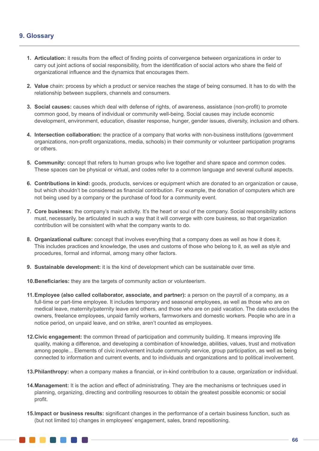# **9. Glossary**

- **1. Articulation:** it results from the effect of finding points of convergence between organizations in order to carry out joint actions of social responsibility, from the identification of social actors who share the field of organizational influence and the dynamics that encourages them.
- **2. Value** chain: process by which a product or service reaches the stage of being consumed. It has to do with the relationship between suppliers, channels and consumers.
- **3. Social causes:** causes which deal with defense of rights, of awareness, assistance (non-profit) to promote common good, by means of individual or community well-being. Social causes may include economic development, environment, education, disaster response, hunger, gender issues, diversity, inclusion and others.
- **4. Intersection collaboration:** the practice of a company that works with non-business institutions (government organizations, non-profit organizations, media, schools) in their community or volunteer participation programs or others.
- **5. Community:** concept that refers to human groups who live together and share space and common codes. These spaces can be physical or virtual, and codes refer to a common language and several cultural aspects.
- **6. Contributions in kind:** goods, products, services or equipment which are donated to an organization or cause, but which shouldn't be considered as financial contribution. For example, the donation of computers which are not being used by a company or the purchase of food for a community event.
- **7. Core business:** the company's main activity. It's the heart or soul of the company. Social responsibility actions must, necessarily, be articulated in such a way that it will converge with core business, so that organization contribution will be consistent with what the company wants to do.
- **8. Organizational culture:** concept that involves everything that a company does as well as how it does it. This includes practices and knowledge, the uses and customs of those who belong to it, as well as style and procedures, formal and informal, among many other factors.
- **9. Sustainable development:** it is the kind of development which can be sustainable over time.
- **10.Beneficiaries:** they are the targets of community action or volunteerism.
- **11.Employee (also called collaborator, associate, and partner):** a person on the payroll of a company, as a full-time or part-time employee. It includes temporary and seasonal employees, as well as those who are on medical leave, maternity/paternity leave and others, and those who are on paid vacation. The data excludes the owners, freelance employees, unpaid family workers, farmworkers and domestic workers. People who are in a notice period, on unpaid leave, and on strike, aren't counted as employees.
- **12.Civic engagement:** the common thread of participation and community building. It means improving life quality, making a difference, and developing a combination of knowledge, abilities, values, trust and motivation among people... Elements of civic involvement include community service, group participation, as well as being connected to information and current events, and to individuals and organizations and to political involvement.
- **13.Philanthropy:** when a company makes a financial, or in-kind contribution to a cause, organization or individual.
- **14.Management:** It is the action and effect of administrating. They are the mechanisms or techniques used in planning, organizing, directing and controlling resources to obtain the greatest possible economic or social profit.
- **15.Impact or business results:** significant changes in the performance of a certain business function, such as (but not limited to) changes in employees' engagement, sales, brand repositioning.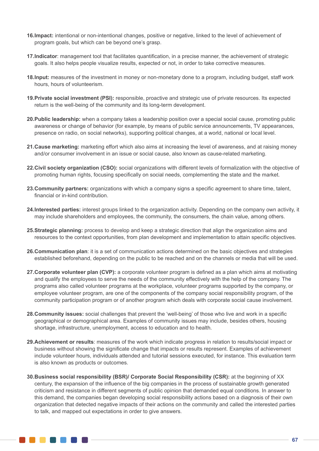- **16.Impact:** intentional or non-intentional changes, positive or negative, linked to the level of achievement of program goals, but which can be beyond one's grasp.
- **17.Indicator**: management tool that facilitates quantification, in a precise manner, the achievement of strategic goals. It also helps people visualize results, expected or not, in order to take corrective measures.
- **18.Input:** measures of the investment in money or non-monetary done to a program, including budget, staff work hours, hours of volunteerism.
- **19.Private social investment (PSI):** responsible, proactive and strategic use of private resources. Its expected return is the well-being of the community and its long-term development.
- **20.Public leadership:** when a company takes a leadership position over a special social cause, promoting public awareness or change of behavior (for example, by means of public service announcements, TV appearances, presence on radio, on social networks), supporting political changes, at a world, national or local level.
- **21.Cause marketing:** marketing effort which also aims at increasing the level of awareness, and at raising money and/or consumer involvement in an issue or social cause, also known as cause-related marketing.
- **22.Civil society organization (CSO):** social organizations with different levels of formalization with the objective of promoting human rights, focusing specifically on social needs, complementing the state and the market.
- **23.Community partners:** organizations with which a company signs a specific agreement to share time, talent, financial or in-kind contribution.
- **24.Interested parties:** interest groups linked to the organization activity. Depending on the company own activity, it may include shareholders and employees, the community, the consumers, the chain value, among others.
- **25.Strategic planning:** process to develop and keep a strategic direction that align the organization aims and resources to the context opportunities, from plan development and implementation to attain specific objectives.
- **26.Communication plan**: it is a set of communication actions determined on the basic objectives and strategies established beforehand, depending on the public to be reached and on the channels or media that will be used.
- **27.Corporate volunteer plan (CVP):** a corporate volunteer program is defined as a plan which aims at motivating and qualify the employees to serve the needs of the community effectively with the help of the company. The programs also called volunteer programs at the workplace, volunteer programs supported by the company, or employee volunteer program, are one of the components of the company social responsibility program, of the community participation program or of another program which deals with corporate social cause involvement.
- **28.Community issues:** social challenges that prevent the 'well-being' of those who live and work in a specific geographical or demographical area. Examples of community issues may include, besides others, housing shortage, infrastructure, unemployment, access to education and to health.
- **29.Achievement or results**: measures of the work which indicate progress in relation to results/social impact or business without showing the significate change that impacts or results represent. Examples of achievement include volunteer hours, individuals attended and tutorial sessions executed, for instance. This evaluation term is also known as products or outcomes.
- **30.Business social responsibility (BSR)/ Corporate Social Responsibility (CSR):** at the beginning of XX century, the expansion of the influence of the big companies in the process of sustainable growth generated criticism and resistance in different segments of public opinion that demanded equal conditions. In answer to this demand, the companies began developing social responsibility actions based on a diagnosis of their own organization that detected negative impacts of their actions on the community and called the interested parties to talk, and mapped out expectations in order to give answers.

. . . . . . . .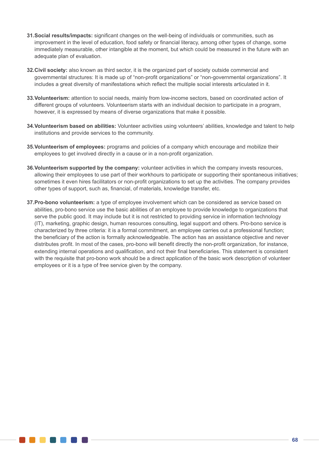- **31.Social results/impacts:** significant changes on the well-being of individuals or communities, such as improvement in the level of education, food safety or financial literacy, among other types of change, some immediately measurable, other intangible at the moment, but which could be measured in the future with an adequate plan of evaluation.
- **32.Civil society:** also known as third sector, it is the organized part of society outside commercial and governmental structures: It is made up of "non-profit organizations" or "non-governmental organizations". It includes a great diversity of manifestations which reflect the multiple social interests articulated in it.
- **33.Volunteerism:** attention to social needs, mainly from low-income sectors, based on coordinated action of different groups of volunteers. Volunteerism starts with an individual decision to participate in a program, however, it is expressed by means of diverse organizations that make it possible.
- **34.Volunteerism based on abilities:** Volunteer activities using volunteers' abilities, knowledge and talent to help institutions and provide services to the community.
- **35.Volunteerism of employees:** programs and policies of a company which encourage and mobilize their employees to get involved directly in a cause or in a non-profit organization.
- **36.Volunteerism supported by the company:** volunteer activities in which the company invests resources, allowing their employees to use part of their workhours to participate or supporting their spontaneous initiatives; sometimes it even hires facilitators or non-profit organizations to set up the activities. The company provides other types of support, such as, financial, of materials, knowledge transfer, etc.
- **37.Pro-bono volunteerism:** a type of employee involvement which can be considered as service based on abilities, pro-bono service use the basic abilities of an employee to provide knowledge to organizations that serve the public good. It may include but it is not restricted to providing service in information technology (IT), marketing, graphic design, human resources consulting, legal support and others. Pro-bono service is characterized by three criteria: it is a formal commitment, an employee carries out a professional function; the beneficiary of the action is formally acknowledgeable. The action has an assistance objective and never distributes profit. In most of the cases, pro-bono will benefit directly the non-profit organization, for instance, extending internal operations and qualification, and not their final beneficiaries. This statement is consistent with the requisite that pro-bono work should be a direct application of the basic work description of volunteer employees or it is a type of free service given by the company.

. . . .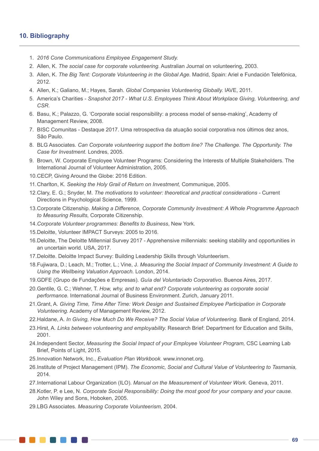### **10. Bibliography**

- 1. *2016 Cone Communications Employee Engagement Study.*
- 2. Allen, K. *The social case for corporate volunteering.* Australian Journal on volunteering, 2003.
- 3. Allen, K. *The Big Tent: Corporate Volunteering in the Global Age.* Madrid, Spain: Ariel e Fundación Telefónica, 2012.
- 4. Allen, K.; Galiano, M.; Hayes, Sarah. *Global Companies Volunteering Globally.* IAVE, 2011.
- 5. America's Charities *Snapshot 2017 What U.S. Employees Think About Workplace Giving, Volunteering, and CSR.*
- 6. Basu, K.; Palazzo, G. 'Corporate social responsibility: a process model of sense-making', Academy of Management Review, 2008.
- 7. BISC Comunitas Destaque 2017. Uma retrospectiva da atuação social corporativa nos últimos dez anos, São Paulo.
- 8. BLG Associates. *Can Corporate volunteering support the bottom line? The Challenge. The Opportunity. The Case for Investment.* Londres, 2005.
- 9. Brown, W. Corporate Employee Volunteer Programs: Considering the Interests of Multiple Stakeholders. The International Journal of Volunteer Administration, 2005.
- 10.CECP, Giving Around the Globe: 2016 Edition.
- 11.Charlton, K. *Seeking the Holy Grail of Return on Investment,* Communique, 2005.
- 12.Clary, E. G.; Snyder, M. *The motivations to volunteer: theoretical and practical considerations -* Current Directions in Psychological Science, 1999.
- 13.Corporate Citizenship. *Making a Difference, Corporate Community Investment: A Whole Programme Approach to Measuring Results,* Corporate Citizenship.
- 14.*Corporate Volunteer programmes: Benefits to Business*, New York.
- 15.Deloitte, Volunteer IMPACT Surveys: 2005 to 2016.
- 16.Deloitte, The Deloitte Millennial Survey 2017 Apprehensive millennials: seeking stability and opportunities in an uncertain world. USA, 2017.
- 17.Deloitte. Deloitte Impact Survey: Building Leadership Skills through Volunteerism.
- 18.Fujiwara, D.; Leach, M.; Trotter, L.; Vine, J. *Measuring the Social Impact of Community Investment: A Guide to Using the Wellbeing Valuation Approach.* London, 2014.
- 19.GDFE (Grupo de Fundações e Empresas). *Guía del Voluntariado Corporativo*. Buenos Aires, 2017.
- 20.Gentile, G. C.; Wehner, T. *How, why, and to what end? Corporate volunteering as corporate social performance.* International Journal of Business Environment. Zurich, January 2011.
- 21.Grant, A. *Giving Time, Time After Time: Work Design and Sustained Employee Participation in Corporate Volunteering.* Academy of Management Review, 2012.
- 22.Haldane, A. *In Giving, How Much Do We Receive? The Social Value of Volunteering.* Bank of England, 2014.
- 23.Hirst, A. *Links between volunteering and employability.* Research Brief: Department for Education and Skills, 2001.
- 24.Independent Sector, *Measuring the Social Impact of your Employee Volunteer Program,* CSC Learning Lab Brief, Points of Light, 2015.
- 25.Innovation Network, Inc., *Evaluation Plan Workbook.* www.innonet.org.
- 26.Institute of Project Management (IPM). *The Economic, Social and Cultural Value of Volunteering to Tasmania,*  2014.
- 27.International Labour Organization (ILO). *Manual on the Measurement of Volunteer Work.* Geneva, 2011.
- 28.Kotler, P. e Lee, N. *Corporate Social Responsibility: Doing the most good for your company and your cause.* John Wiley and Sons, Hoboken, 2005.
- 29.LBG Associates. *Measuring Corporate Volunteerism,* 2004.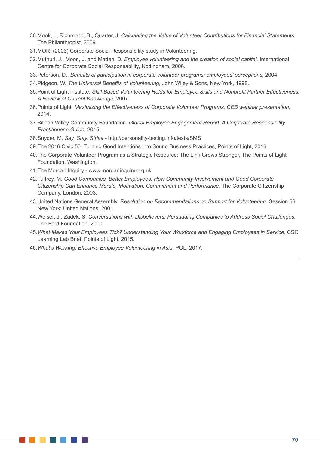- 30.Mook, L, Richmond, B., Quarter, J. *Calculating the Value of Volunteer Contributions for Financial Statements.*  The Philanthropist, 2009.
- 31.MORI (2003) Corporate Social Responsibility study in Volunteering.
- 32.Muthuri, J., Moon, J. and Matten, D. *Employee volunteering and the creation of social capital.* International Centre for Corporate Social Responsability, Nottingham, 2006.
- 33.Peterson, D., *Benefits of participation in corporate volunteer programs: employees' perceptions,* 2004.
- 34.Pidgeon, W. *The Universal Benefits of Volunteering,* John Wiley & Sons, New York, 1998.
- 35.Point of Light Institute. *Skill-Based Volunteering Holds for Employee Skills and Nonprofit Partner Effectiveness: A Review of Current Knowledge,* 2007.
- 36.Points of Light, *Maximizing the Effectiveness of Corporate Volunteer Programs, CEB webinar presentation,* 2014.
- 37.Silicon Valley Community Foundation. *Global Employee Engagement Report: A Corporate Responsibility Practitioner's Guide,* 2015.
- 38.Snyder, M. *Say, Stay, Strive -* http://personality-testing.info/tests/SMS
- 39.The 2016 Civic 50: Turning Good Intentions into Sound Business Practices, Points of Light, 2016.
- 40.The Corporate Volunteer Program as a Strategic Resource: The Link Grows Stronger, The Points of Light Foundation, Washington.
- 41.The Morgan Inquiry www.morganinquiry.org.uk
- 42.Tuffrey, M. *Good Companies, Better Employees: How Community Involvement and Good Corporate Citizenship Can Enhance Morale, Motivation, Commitment and Performance,* The Corporate Citizenship Company, London, 2003.
- 43.United Nations General Assembly. *Resolution on Recommendations on Support for Volunteering.* Session 56. New York: United Nations, 2001.
- 44.Weiser, J.; Zadek, S. *Conversations with Disbelievers: Persuading Companies to Address Social Challenges,*  The Ford Foundation, 2000.
- 45.*What Makes Your Employees Tick? Understanding Your Workforce and Engaging Employees in Service*, CSC Learning Lab Brief, Points of Light, 2015.
- 46.*What's Working: Effective Employee Volunteering in Asia,* POL, 2017.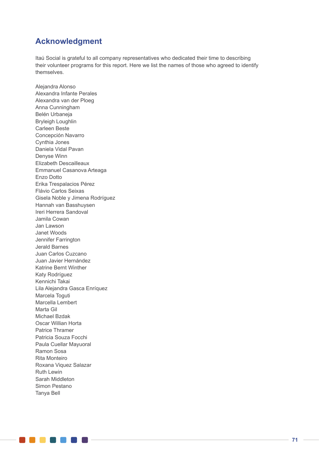# **Acknowledgment**

Itaú Social is grateful to all company representatives who dedicated their time to describing their volunteer programs for this report. Here we list the names of those who agreed to identify themselves.

Alejandra Alonso Alexandra Infante Perales Alexandra van der Ploeg Anna Cunningham Belén Urbaneja Bryleigh Loughlin Carleen Beste Concepción Navarro Cynthia Jones Daniela Vidal Pavan Denyse Winn Elizabeth Descailleaux Emmanuel Casanova Arteaga Enzo Dotto Erika Trespalacios Pérez Flávio Carlos Seixas Gisela Noble y Jimena Rodríguez Hannah van Basshuysen Ireri Herrera Sandoval Jamila Cowan Jan Lawson Janet Woods Jennifer Farrington Jerald Barnes Juan Carlos Cuzcano Juan Javier Hernández Katrine Bernt Winther Katy Rodríguez Kennichi Takai Lila Alejandra Gasca Enríquez Marcela Toguti Marcella Lembert Marta Gil Michael Bzdak Oscar Willian Horta Patrice Thramer Patricia Souza Focchi Paula Cuellar Mayuoral Ramon Sosa Rita Monteiro Roxana Viquez Salazar Ruth Lewin Sarah Middleton Simon Pestano Tanya Bell

. . . . . . .